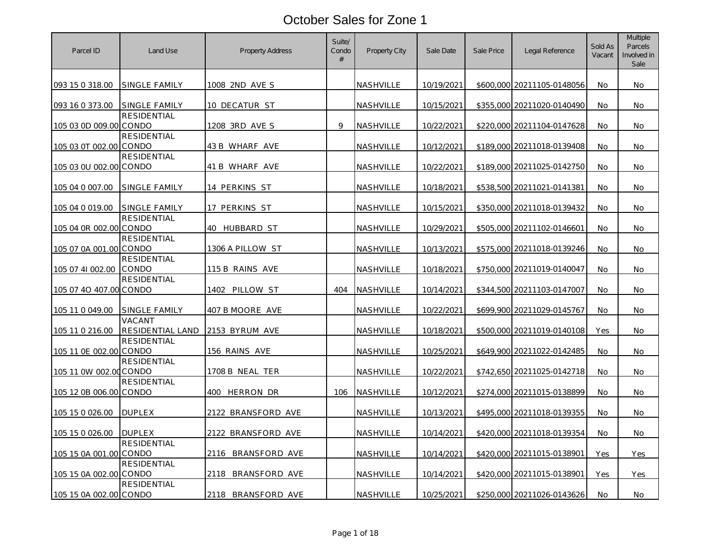| Parcel ID              | Land Use                    | <b>Property Address</b> | Suite/<br>Condo<br># | Property City    | Sale Date         | Sale Price | Legal Reference            | Sold As<br>Vacant | Multiple<br>Parcels<br>Involved in<br>Sale |
|------------------------|-----------------------------|-------------------------|----------------------|------------------|-------------------|------------|----------------------------|-------------------|--------------------------------------------|
| 093 15 0 318.00        | SINGLE FAMILY               | 1008 2ND AVE S          |                      | NASHVILLE        | 10/19/2021        |            | \$600,000 20211105-0148056 | No.               | No.                                        |
| 093 16 0 373.00        | SINGLE FAMILY               | 10 DECATUR ST           |                      | NASHVILLE        | 10/15/2021        |            | \$355,000 20211020-0140490 | No                | No                                         |
| 105 03 0D 009.00 CONDO | <b>RESIDENTIAL</b>          | 1208 3RD AVE S          | 9                    | NASHVILLE        | 10/22/2021        |            | \$220,000 20211104-0147628 | No.               | No.                                        |
| 105 03 0T 002.00 CONDO | <b>RESIDENTIAL</b>          | 43 B WHARF AVE          |                      | NASHVILLE        | 10/12/2021        |            | \$189,000 20211018-0139408 | No                | No.                                        |
| 105 03 0U 002.00 CONDO | RESIDENTIAL                 | 41 B WHARF AVE          |                      | NASHVILLE        | 10/22/2021        |            | \$189,000 20211025-0142750 | No                | No.                                        |
| 105 04 0 007.00        | SINGLE FAMILY               | 14 PERKINS ST           |                      | NASHVILLE        | 10/18/2021        |            | \$538,500 20211021-0141381 | No                | No.                                        |
| 105 04 0 019.00        | <b>SINGLE FAMILY</b>        | <u>17 PERKINS ST</u>    |                      | NASHVILLE        | 10/15/2021        |            | \$350,000 20211018-0139432 | No.               | No                                         |
| 105 04 0R 002.00 CONDO | <b>RESIDENTIAL</b>          | 40 HUBBARD ST           |                      | NASHVILLE        | 10/29/2021        |            | \$505,000 20211102-0146601 | No.               | No.                                        |
| 105 07 0A 001.00 CONDO | <b>RESIDENTIAL</b>          | 1306 A PILLOW ST        |                      | NASHVILLE        | 10/13/2021        |            | \$575,000 20211018-0139246 | No                | No.                                        |
| 105 07 41 002.00       | <b>RESIDENTIAL</b><br>CONDO | 115 B RAINS AVE         |                      | NASHVILLE        | 10/18/2021        |            | \$750,000 20211019-0140047 | No                | No.                                        |
| 105 07 40 407.00 CONDO | <b>RESIDENTIAL</b>          | 1402 PILLOW ST          | 404                  | NASHVILLE        | 10/14/2021        |            | \$344,500 20211103-0147007 | No                | No.                                        |
| 105 11 0 049.00        | <b>SINGLE FAMILY</b>        | 407 B MOORE AVE         |                      | <u>NASHVILLE</u> | <u>10/22/2021</u> |            | \$699,900 20211029-0145767 | No                | No.                                        |
| 105 11 0 216.00        | VACANT<br>RESIDENTIAL LAND  | 2153 BYRUM AVE          |                      | NASHVILLE        | 10/18/2021        |            | \$500,000 20211019-0140108 | Yes               | No.                                        |
| 105 11 0E 002.00 CONDO | RESIDENTIAL                 | 156 RAINS AVE           |                      | NASHVILLE        | 10/25/2021        |            | \$649,900 20211022-0142485 | No                | No                                         |
| 105 11 0W 002.00 CONDO | RESIDENTIAL                 | 1708 B NEAL TER         |                      | NASHVILLE        | 10/22/2021        |            | \$742,650 20211025-0142718 | No                | No.                                        |
| 105 12 0B 006.00 CONDO | <b>RESIDENTIAL</b>          | 400 HERRON DR           | 106                  | NASHVILLE        | 10/12/2021        |            | \$274,000 20211015-0138899 | No                | No                                         |
| 105 15 0 026.00        | <b>DUPLEX</b>               | 2122 BRANSFORD AVE      |                      | NASHVILLE        | 10/13/2021        |            | \$495,000 20211018-0139355 | No                | No.                                        |
| 105 15 0 026.00        | <b>DUPLEX</b>               | 2122 BRANSFORD AVE      |                      | NASHVILLE        | 10/14/2021        |            | \$420,000 20211018-0139354 | No                | No.                                        |
| 105 15 0A 001.00 CONDO | RESIDENTIAL                 | 2116 BRANSFORD AVE      |                      | <u>NASHVILLE</u> | 10/14/2021        |            | \$420,000 20211015-0138901 | Yes               | Yes                                        |
| 105 15 0A 002.00 CONDO | <b>RESIDENTIAL</b>          | 2118 BRANSFORD AVE      |                      | NASHVILLE        | 10/14/2021        |            | \$420,000 20211015-0138901 | Yes               | Yes                                        |
| 105 15 0A 002.00 CONDO | RESIDENTIAL                 | 2118 BRANSFORD AVE      |                      | NASHVILLE        | 10/25/2021        |            | \$250,000 20211026-0143626 | No                | No.                                        |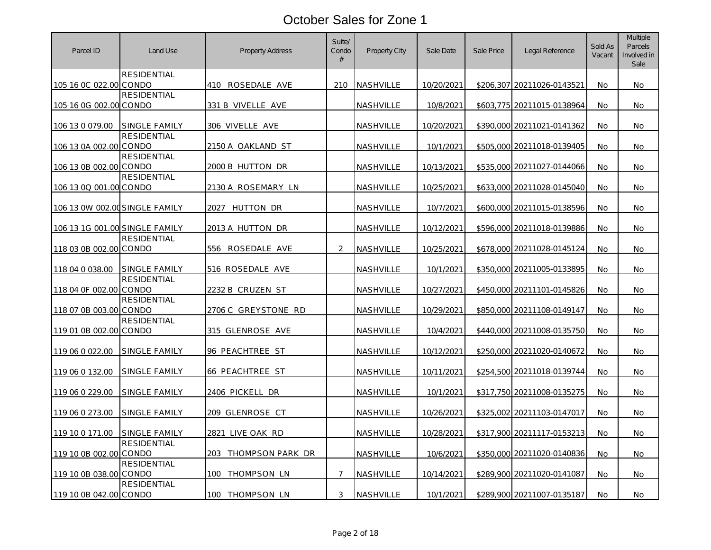| Parcel ID                      | Land Use             | <b>Property Address</b>    | Suite/<br>Condo<br># | Property City    | Sale Date  | Sale Price | Legal Reference            | Sold As<br>Vacant | Multiple<br>Parcels<br>Involved in<br>Sale |
|--------------------------------|----------------------|----------------------------|----------------------|------------------|------------|------------|----------------------------|-------------------|--------------------------------------------|
| 105 16 0C 022.00 CONDO         | <b>RESIDENTIAL</b>   | 410 ROSEDALE AVE           | 210                  | NASHVILLE        | 10/20/2021 |            | \$206,307 20211026-0143521 | No                | No.                                        |
| 105 16 0G 002.00 CONDO         | RESIDENTIAL          | 331 B VIVELLE AVE          |                      | NASHVILLE        | 10/8/2021  |            | \$603,775 20211015-0138964 | No                | No.                                        |
| 106 13 0 079.00                | <b>SINGLE FAMILY</b> | 306 VIVELLE AVE            |                      | NASHVILLE        | 10/20/2021 |            | \$390,000 20211021-0141362 | No                | No                                         |
| 106 13 0A 002.00 CONDO         | <b>RESIDENTIAL</b>   | 2150 A OAKLAND ST          |                      | NASHVILLE        | 10/1/2021  |            | \$505,000 20211018-0139405 | <b>No</b>         | No.                                        |
| 106 13 0B 002.00 CONDO         | <b>RESIDENTIAL</b>   | 2000 B HUTTON DR           |                      | NASHVILLE        | 10/13/2021 |            | \$535,000 20211027-0144066 | No.               | No.                                        |
| 106 13 0Q 001.00 CONDO         | <b>RESIDENTIAL</b>   | 2130 A ROSEMARY LN         |                      | NASHVILLE        | 10/25/2021 |            | \$633,000 20211028-0145040 | No                | No.                                        |
| 106 13 0W 002.00 SINGLE FAMILY |                      | 2027 HUTTON DR             |                      | <b>NASHVILLE</b> | 10/7/2021  |            | \$600,000 20211015-0138596 | No.               | No.                                        |
| 106 13 1G 001.00 SINGLE FAMILY |                      | 2013 A HUTTON DR           |                      | NASHVILLE        | 10/12/2021 |            | \$596,000 20211018-0139886 | No                | No.                                        |
| 118 03 0B 002.00 CONDO         | <b>RESIDENTIAL</b>   | 556 ROSEDALE AVE           | $\overline{2}$       | NASHVILLE        | 10/25/2021 |            | \$678,000 20211028-0145124 | No                | No.                                        |
| 118 04 0 038.00                | <b>SINGLE FAMILY</b> | 516 ROSEDALE AVE           |                      | NASHVILLE        | 10/1/2021  |            | \$350,000 20211005-0133895 | No                | No.                                        |
| 118 04 0F 002.00 CONDO         | RESIDENTIAL          | 2232 B CRUZEN ST           |                      | NASHVILLE        | 10/27/2021 |            | \$450,000 20211101-0145826 | No                | No.                                        |
| 118 07 0B 003.00 CONDO         | <b>RESIDENTIAL</b>   | <u>2706 C GREYSTONE RD</u> |                      | NASHVILLE        | 10/29/2021 |            | \$850,000 20211108-0149147 | No                | No                                         |
| 119 01 0B 002.00 CONDO         | <b>RESIDENTIAL</b>   | 315 GLENROSE AVE           |                      | NASHVILLE        | 10/4/2021  |            | \$440,000 20211008-0135750 | No                | No.                                        |
| 119 06 0 022.00                | SINGLE FAMILY        | 96 PEACHTREE ST            |                      | NASHVILLE        | 10/12/2021 |            | \$250,000 20211020-0140672 | No                | No                                         |
| 119 06 0 132.00                | SINGLE FAMILY        | 66 PEACHTREE ST            |                      | NASHVILLE        | 10/11/2021 |            | \$254,500 20211018-0139744 | No                | No.                                        |
| 119 06 0 229.00                | SINGLE FAMILY        | 2406 PICKELL DR            |                      | NASHVILLE        | 10/1/2021  |            | \$317,750 20211008-0135275 | No                | No.                                        |
| 119 06 0 273.00                | SINGLE FAMILY        | 209 GLENROSE CT            |                      | NASHVILLE        | 10/26/2021 |            | \$325,002 20211103-0147017 | No.               | <b>No</b>                                  |
| 119 10 0 171.00                | SINGLE FAMILY        | 2821 LIVE OAK RD           |                      | NASHVILLE        | 10/28/2021 |            | \$317,900 20211117-0153213 | No.               | No.                                        |
| 119 10 0B 002.00 CONDO         | <b>RESIDENTIAL</b>   | 203 THOMPSON PARK DR       |                      | NASHVILLE        | 10/6/2021  |            | \$350,000 20211020-0140836 | No                | No.                                        |
| 119 10 0B 038.00 CONDO         | <b>RESIDENTIAL</b>   | 100<br>THOMPSON LN         | $\overline{7}$       | <b>NASHVILLE</b> | 10/14/2021 |            | \$289,900 20211020-0141087 | No                | No.                                        |
| 119 10 0B 042.00 CONDO         | RESIDENTIAL          | 100 THOMPSON LN            | 3                    | NASHVILLE        | 10/1/2021  |            | \$289,900 20211007-0135187 | No                | No.                                        |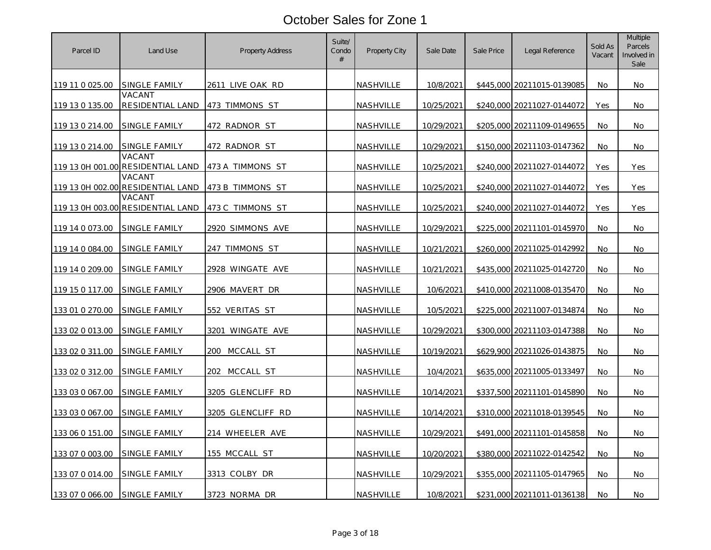| Parcel ID        | Land Use                                    | <b>Property Address</b> | Suite/<br>Condo<br># | <b>Property City</b> | Sale Date  | Sale Price | Legal Reference            | Sold As<br>Vacant | Multiple<br>Parcels<br>Involved in<br>Sale |
|------------------|---------------------------------------------|-------------------------|----------------------|----------------------|------------|------------|----------------------------|-------------------|--------------------------------------------|
| 119 11 0 025.00  | SINGLE FAMILY                               | 2611 LIVE OAK RD        |                      | NASHVILLE            | 10/8/2021  |            | \$445,000 20211015-0139085 | No.               | No.                                        |
| 119 13 0 135.00  | VACANT<br>RESIDENTIAL LAND                  | 473 TIMMONS ST          |                      | NASHVILLE            | 10/25/2021 |            | \$240,000 20211027-0144072 | Yes               | No                                         |
| 119 13 0 214.00  | SINGLE FAMILY                               | 472 RADNOR ST           |                      | NASHVILLE            | 10/29/2021 |            | \$205,000 20211109-0149655 | No.               | No.                                        |
| 119 13 0 214.00  | SINGLE FAMILY                               | 472 RADNOR ST           |                      | NASHVILLE            | 10/29/2021 |            | \$150,000 20211103-0147362 | No                | No.                                        |
|                  | VACANT<br>119 13 0H 001.00 RESIDENTIAL LAND | 473 A TIMMONS ST        |                      | NASHVILLE            | 10/25/2021 |            | \$240,000 20211027-0144072 | Yes               | Yes                                        |
| 119 13 0H 002.00 | VACANT<br>RESIDENTIAL LAND                  | 473 B TIMMONS ST        |                      | NASHVILLE            | 10/25/2021 | \$240,000  | 20211027-0144072           | Yes               | Yes                                        |
|                  | VACANT<br>119 13 0H 003.00 RESIDENTIAL LAND | 473 C TIMMONS ST        |                      | NASHVILLE            | 10/25/2021 |            | \$240,000 20211027-0144072 | Yes               | Yes                                        |
| 119 14 0 073.00  | SINGLE FAMILY                               | 2920 SIMMONS AVE        |                      | NASHVILLE            | 10/29/2021 |            | \$225,000 20211101-0145970 | No                | No.                                        |
| 119 14 0 084.00  | SINGLE FAMILY                               | 247 TIMMONS ST          |                      | NASHVILLE            | 10/21/2021 |            | \$260,000 20211025-0142992 | No                | No.                                        |
| 119 14 0 209.00  | SINGLE FAMILY                               | 2928 WINGATE AVE        |                      | NASHVILLE            | 10/21/2021 | \$435,000  | 20211025-0142720           | No                | No.                                        |
| 119 15 0 117.00  | SINGLE FAMILY                               | 2906 MAVERT DR          |                      | NASHVILLE            | 10/6/2021  |            | \$410,000 20211008-0135470 | No                | No.                                        |
| 133 01 0 270.00  | <b>SINGLE FAMILY</b>                        | 552 VERITAS ST          |                      | <u>NASHVILLE</u>     | 10/5/2021  | \$225,000  | 20211007-0134874           | No                | No.                                        |
| 133 02 0 013.00  | SINGLE FAMILY                               | 3201 WINGATE AVE        |                      | NASHVILLE            | 10/29/2021 |            | \$300,000 20211103-0147388 | No                | No.                                        |
| 133 02 0 311.00  | SINGLE FAMILY                               | MCCALL ST<br>200        |                      | <b>NASHVILLE</b>     | 10/19/2021 | \$629,900  | 20211026-0143875           | No                | No                                         |
| 133 02 0 312.00  | SINGLE FAMILY                               | 202<br>MCCALL ST        |                      | NASHVILLE            | 10/4/2021  |            | \$635,000 20211005-0133497 | No                | No.                                        |
| 133 03 0 067.00  | SINGLE FAMILY                               | 3205 GLENCLIFF RD       |                      | NASHVILLE            | 10/14/2021 |            | \$337,500 20211101-0145890 | No                | No                                         |
| 133 03 0 067.00  | SINGLE FAMILY                               | 3205 GLENCLIFF RD       |                      | NASHVILLE            | 10/14/2021 |            | \$310,000 20211018-0139545 | No                | No.                                        |
| 133 06 0 151.00  | SINGLE FAMILY                               | 214 WHEELER AVE         |                      | NASHVILLE            | 10/29/2021 |            | \$491,000 20211101-0145858 | No                | No.                                        |
| 133 07 0 003.00  | SINGLE FAMILY                               | 155 MCCALL ST           |                      | <u>NASHVILLE</u>     | 10/20/2021 |            | \$380,000 20211022-0142542 | No                | No.                                        |
| 133 07 0 014.00  | SINGLE FAMILY                               | 3313 COLBY DR           |                      | NASHVILLE            | 10/29/2021 |            | \$355,000 20211105-0147965 | No.               | <b>No</b>                                  |
| 133 07 0 066.00  | SINGLE FAMILY                               | 3723 NORMA DR           |                      | NASHVILLE            | 10/8/2021  |            | \$231,000 20211011-0136138 | No.               | No.                                        |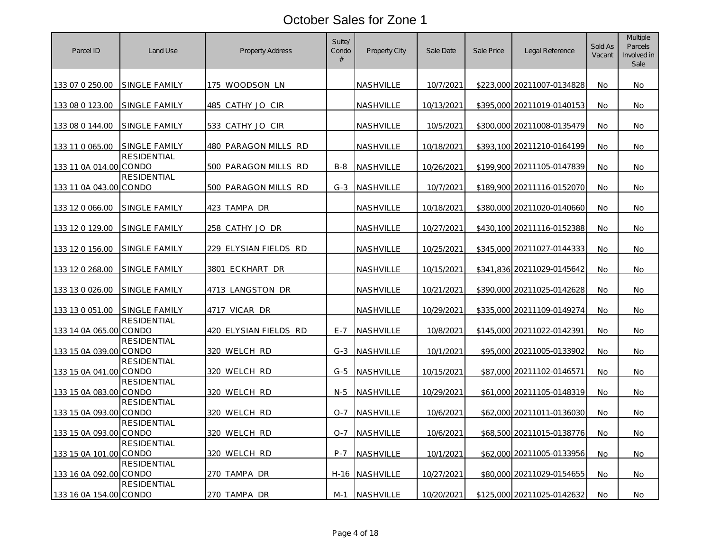| Parcel ID              | Land Use             | <b>Property Address</b> | Suite/<br>Condo<br># | Property City    | Sale Date         | Sale Price | Legal Reference            | Sold As<br>Vacant | Multiple<br>Parcels<br>Involved in<br>Sale |
|------------------------|----------------------|-------------------------|----------------------|------------------|-------------------|------------|----------------------------|-------------------|--------------------------------------------|
| 133 07 0 250.00        | SINGLE FAMILY        | 175 WOODSON LN          |                      | NASHVILLE        | 10/7/2021         |            | \$223,000 20211007-0134828 | No                | No.                                        |
| 133 08 0 123.00        | SINGLE FAMILY        | 485 CATHY JO CIR        |                      | NASHVILLE        | 10/13/2021        |            | \$395,000 20211019-0140153 | No                | No.                                        |
| 133 08 0 144.00        | SINGLE FAMILY        | 533 CATHY JO CIR        |                      | NASHVILLE        | 10/5/2021         |            | \$300,000 20211008-0135479 | No.               | No.                                        |
| 133 11 0 065.00        | SINGLE FAMILY        | 480 PARAGON MILLS RD    |                      | NASHVILLE        | 10/18/2021        |            | \$393,100 20211210-0164199 | No                | No.                                        |
| 133 11 0A 014 00 CONDO | <b>RESIDENTIAL</b>   | 500 PARAGON MILLS RD    | $B-8$                | NASHVILLE        | 10/26/2021        |            | \$199,900 20211105-0147839 | No.               | No.                                        |
| 133 11 0A 043.00 CONDO | <b>RESIDENTIAL</b>   | 500 PARAGON MILLS RD    | $G-3$                | NASHVILLE        | 10/7/2021         |            | \$189,900 20211116-0152070 | No                | No.                                        |
| 133 12 0 066.00        | <b>SINGLE FAMILY</b> | 423 TAMPA DR            |                      | NASHVILLE        | 10/18/2021        |            | \$380,000 20211020-0140660 | No.               | No.                                        |
| 133 12 0 129.00        | SINGLE FAMILY        | 258 CATHY JO DR         |                      | NASHVILLE        | 10/27/2021        |            | \$430,100 20211116-0152388 | No                | No.                                        |
| 133 12 0 156.00        | SINGLE FAMILY        | 229 ELYSIAN FIELDS RD   |                      | NASHVILLE        | 10/25/2021        |            | \$345,000 20211027-0144333 | No                | No.                                        |
| 133 12 0 268.00        | SINGLE FAMILY        | 3801 ECKHART DR         |                      | NASHVILLE        | 10/15/2021        |            | \$341,836 20211029-0145642 | No                | No.                                        |
| 133 13 0 026.00        | SINGLE FAMILY        | 4713 LANGSTON DR        |                      | NASHVILLE        | 10/21/2021        |            | \$390,000 20211025-0142628 | No                | No.                                        |
| 133 13 0 051.00        | SINGLE FAMILY        | <u>4717 VICAR DR</u>    |                      | <u>NASHVILLE</u> | <u>10/29/2021</u> |            | \$335,000 20211109-0149274 | No                | No.                                        |
| 133 14 0A 065.00 CONDO | <b>RESIDENTIAL</b>   | 420 ELYSIAN FIELDS RD   | $E - 7$              | <b>NASHVILLE</b> | 10/8/2021         |            | \$145,000 20211022-0142391 | No                | No.                                        |
| 133 15 0A 039.00 CONDO | RESIDENTIAL          | 320 WELCH RD            | $G-3$                | NASHVILLE        | 10/1/2021         |            | \$95,000 20211005-0133902  | No                | No                                         |
| 133 15 0A 041.00 CONDO | RESIDENTIAL          | 320 WELCH RD            | $G-5$                | <b>NASHVILLE</b> | 10/15/2021        |            | \$87,000 20211102-0146571  | No                | No.                                        |
| 133 15 0A 083.00 CONDO | <b>RESIDENTIAL</b>   | 320 WELCH RD            | $N-5$                | NASHVILLE        | 10/29/2021        |            | \$61,000 20211105-0148319  | No                | No                                         |
| 133 15 0A 093.00 CONDO | <b>RESIDENTIAL</b>   | 320 WELCH RD            | $O - 7$              | NASHVILLE        | 10/6/2021         |            | \$62,000 20211011-0136030  | No                | No.                                        |
| 133 15 0A 093.00 CONDO | <b>RESIDENTIAL</b>   | 320 WELCH RD            | $O-7$                | NASHVILLE        | 10/6/2021         |            | \$68,500 20211015-0138776  | No                | No.                                        |
| 133 15 0A 101.00 CONDO | <b>RESIDENTIAL</b>   | 320 WELCH RD            | $P-7$                | NASHVILLE        | 10/1/2021         |            | \$62,000 20211005-0133956  | No                | No.                                        |
| 133 16 0A 092.00 CONDO | <b>RESIDENTIAL</b>   | 270 TAMPA DR            | H-16                 | NASHVILLE        | 10/27/2021        |            | \$80,000 20211029-0154655  | No.               | <b>No</b>                                  |
| 133 16 0A 154.00 CONDO | RESIDENTIAL          | 270 TAMPA DR            | M-1                  | NASHVILLE        | 10/20/2021        |            | \$125,000 20211025-0142632 | No.               | No.                                        |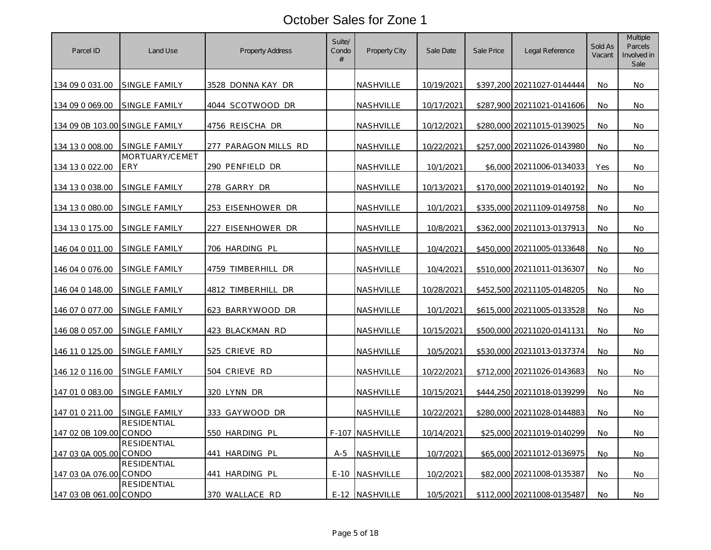| Parcel ID                      | Land Use                     | <b>Property Address</b> | Suite/<br>Condo<br># | Property City    | Sale Date  | Sale Price | Legal Reference            | Sold As<br>Vacant | Multiple<br>Parcels<br>Involved in<br>Sale |
|--------------------------------|------------------------------|-------------------------|----------------------|------------------|------------|------------|----------------------------|-------------------|--------------------------------------------|
| 134 09 0 031.00                | SINGLE FAMILY                | 3528 DONNA KAY DR       |                      | NASHVILLE        | 10/19/2021 |            | \$397,200 20211027-0144444 | No.               | No.                                        |
| 134 09 0 069.00                | SINGLE FAMILY                | 4044 SCOTWOOD DR        |                      | NASHVILLE        | 10/17/2021 |            | \$287,900 20211021-0141606 | No                | No.                                        |
| 134 09 0B 103.00 SINGLE FAMILY |                              | 4756 REISCHA DR         |                      | NASHVILLE        | 10/12/2021 |            | \$280,000 20211015-0139025 | No.               | No                                         |
| 134 13 0 008.00                | SINGLE FAMILY                | 277 PARAGON MILLS RD    |                      | NASHVILLE        | 10/22/2021 |            | \$257,000 20211026-0143980 | No                | No.                                        |
| 134 13 0 022.00                | MORTUARY/CEMET<br><b>ERY</b> | 290 PENFIELD DR         |                      | NASHVILLE        | 10/1/2021  |            | \$6,000 20211006-0134033   | Yes               | No.                                        |
| 134 13 0 038.00                | SINGLE FAMILY                | 278 GARRY DR            |                      | <b>NASHVILLE</b> | 10/13/2021 | \$170,000  | 20211019-0140192           | No                | No.                                        |
| 134 13 0 080.00                | SINGLE FAMILY                | 253 EISENHOWER DR       |                      | NASHVILLE        | 10/1/2021  |            | \$335,000 20211109-0149758 | No                | No.                                        |
| 134 13 0 175.00                | SINGLE FAMILY                | 227 EISENHOWER DR       |                      | NASHVILLE        | 10/8/2021  |            | \$362,000 20211013-0137913 | No                | No                                         |
| 146 04 0 011.00                | SINGLE FAMILY                | 706 HARDING PL          |                      | NASHVILLE        | 10/4/2021  |            | \$450,000 20211005-0133648 | No                | No.                                        |
| 146 04 0 076.00                | SINGLE FAMILY                | 4759 TIMBERHILL<br>DR   |                      | NASHVILLE        | 10/4/2021  |            | \$510,000 20211011-0136307 | No                | No.                                        |
| 146 04 0 148.00                | <b>SINGLE FAMILY</b>         | 4812 TIMBERHILL<br>DR   |                      | <u>NASHVILLE</u> | 10/28/2021 |            | \$452,500 20211105-0148205 | No                | No.                                        |
| 146 07 0 077.00                | SINGLE FAMILY                | 623 BARRYWOOD DR        |                      | NASHVILLE        | 10/1/2021  |            | \$615,000 20211005-0133528 | No                | <b>No</b>                                  |
| 146 08 0 057.00                | SINGLE FAMILY                | 423 BLACKMAN RD         |                      | NASHVILLE        | 10/15/2021 |            | \$500,000 20211020-0141131 | No                | No.                                        |
| 146 11 0 125.00                | SINGLE FAMILY                | 525 CRIEVE RD           |                      | NASHVILLE        | 10/5/2021  |            | \$530,000 20211013-0137374 | No                | No                                         |
| 146 12 0 116.00                | SINGLE FAMILY                | 504 CRIEVE RD           |                      | NASHVILLE        | 10/22/2021 |            | \$712,000 20211026-0143683 | No                | No.                                        |
| 147 01 0 083.00                | SINGLE FAMILY                | 320 LYNN DR             |                      | NASHVILLE        | 10/15/2021 |            | \$444,250 20211018-0139299 | No                | No                                         |
| 147 01 0 211.00                | SINGLE FAMILY                | 333 GAYWOOD DR          |                      | NASHVILLE        | 10/22/2021 |            | \$280,000 20211028-0144883 | No                | <b>No</b>                                  |
| 147 02 0B 109.00               | <b>RESIDENTIAL</b><br>CONDO  | 550 HARDING PL          |                      | F-107 NASHVILLE  | 10/14/2021 |            | \$25,000 20211019-0140299  | No                | No.                                        |
| 147 03 0A 005.00 CONDO         | <b>RESIDENTIAL</b>           | 441 HARDING PL          | $A-5$                | <u>NASHVILLE</u> | 10/7/2021  |            | \$65,000 20211012-0136975  | No                | No.                                        |
| 147 03 0A 076.00 CONDO         | <b>RESIDENTIAL</b>           | 441 HARDING PL          | $E-10$               | NASHVILLE        | 10/2/2021  |            | \$82,000 20211008-0135387  | No                | <b>No</b>                                  |
| 147 03 0B 061.00 CONDO         | <b>RESIDENTIAL</b>           | 370 WALLACE RD          | $E-12$               | NASHVILLE        | 10/5/2021  |            | \$112,000 20211008-0135487 | No.               | No.                                        |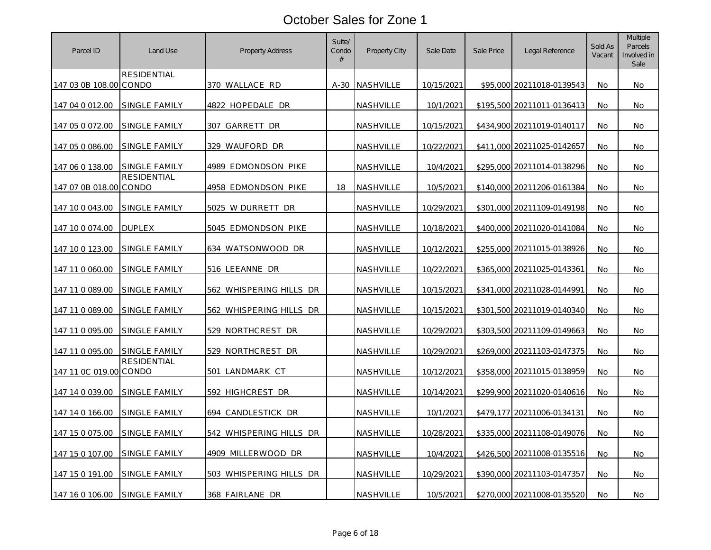| Parcel ID              | Land Use             | <b>Property Address</b> | Suite/<br>Condo<br># | Property City    | Sale Date  | Sale Price | Legal Reference            | Sold As<br>Vacant | Multiple<br>Parcels<br>Involved in<br>Sale |
|------------------------|----------------------|-------------------------|----------------------|------------------|------------|------------|----------------------------|-------------------|--------------------------------------------|
| 147 03 0B 108.00 CONDO | RESIDENTIAL          | 370 WALLACE RD          | $A-30$               | <b>NASHVILLE</b> | 10/15/2021 |            | \$95,000 20211018-0139543  | No.               | No.                                        |
| 147 04 0 012.00        | SINGLE FAMILY        | 4822 HOPEDALE DR        |                      | NASHVILLE        | 10/1/2021  |            | \$195,500 20211011-0136413 | No                | No.                                        |
| 147 05 0 072.00        | SINGLE FAMILY        | 307 GARRETT DR          |                      | NASHVILLE        | 10/15/2021 |            | \$434,900 20211019-0140117 | No.               | No                                         |
| 147 05 0 086.00        | SINGLE FAMILY        | 329 WAUFORD DR          |                      | <b>NASHVILLE</b> | 10/22/2021 |            | \$411,000 20211025-0142657 | No                | No.                                        |
| 147 06 0 138.00        | SINGLE FAMILY        | 4989 EDMONDSON PIKE     |                      | NASHVILLE        | 10/4/2021  |            | \$295,000 20211014-0138296 | No                | No                                         |
| 147 07 0B 018.00 CONDO | <b>RESIDENTIAL</b>   | 4958 EDMONDSON PIKE     | 18                   | <b>NASHVILLE</b> | 10/5/2021  | \$140,000  | 20211206-0161384           | No                | No.                                        |
| 147 10 0 043.00        | SINGLE FAMILY        | 5025 W DURRETT DR       |                      | NASHVILLE        | 10/29/2021 |            | \$301,000 20211109-0149198 | No                | No.                                        |
| 147 10 0 0 7 4 .00     | <b>DUPLEX</b>        | 5045 EDMONDSON PIKE     |                      | NASHVILLE        | 10/18/2021 |            | \$400,000 20211020-0141084 | No                | No                                         |
| 147 10 0 123.00        | SINGLE FAMILY        | 634 WATSONWOOD DR       |                      | NASHVILLE        | 10/12/2021 |            | \$255,000 20211015-0138926 | No                | No.                                        |
| 147 11 0 060.00        | SINGLE FAMILY        | 516 LEEANNE DR          |                      | NASHVILLE        | 10/22/2021 | \$365,000  | 20211025-0143361           | No                | No.                                        |
| 147 11 0 089.00        | <b>SINGLE FAMILY</b> | 562 WHISPERING HILLS DR |                      | <u>NASHVILLE</u> | 10/15/2021 |            | \$341,000 20211028-0144991 | No                | No.                                        |
| 147 11 0 089.00        | SINGLE FAMILY        | 562 WHISPERING HILLS DR |                      | NASHVILLE        | 10/15/2021 |            | \$301,500 20211019-0140340 | No                | <b>No</b>                                  |
| 147 11 0 095.00        | SINGLE FAMILY        | 529 NORTHCREST DR       |                      | NASHVILLE        | 10/29/2021 |            | \$303,500 20211109-0149663 | No                | No                                         |
| 147 11 0 095.00        | SINGLE FAMILY        | 529 NORTHCREST DR       |                      | NASHVILLE        | 10/29/2021 |            | \$269,000 20211103-0147375 | No                | No                                         |
| 147 11 0C 019.00 CONDO | <b>RESIDENTIAL</b>   | 501 LANDMARK CT         |                      | NASHVILLE        | 10/12/2021 |            | \$358,000 20211015-0138959 | No                | No.                                        |
| 147 14 0 039.00        | SINGLE FAMILY        | 592 HIGHCREST DR        |                      | NASHVILLE        | 10/14/2021 |            | \$299,900 20211020-0140616 | No                | No                                         |
| 147 14 0 166.00        | SINGLE FAMILY        | 694 CANDLESTICK DR      |                      | NASHVILLE        | 10/1/2021  | \$479,177  | 20211006-0134131           | No                | <b>No</b>                                  |
| 147 15 0 075.00        | SINGLE FAMILY        | 542 WHISPERING HILLS DR |                      | NASHVILLE        | 10/28/2021 |            | \$335,000 20211108-0149076 | No                | No                                         |
| 147 15 0 107.00        | SINGLE FAMILY        | 4909 MILLERWOOD DR      |                      | <u>NASHVILLE</u> | 10/4/2021  |            | \$426,500 20211008-0135516 | No                | No.                                        |
| 147 15 0 191.00        | SINGLE FAMILY        | 503 WHISPERING HILLS DR |                      | NASHVILLE        | 10/29/2021 |            | \$390,000 20211103-0147357 | <b>No</b>         | <b>No</b>                                  |
| 147 16 0 106.00        | SINGLE FAMILY        | 368 FAIRLANE DR         |                      | NASHVILLE        | 10/5/2021  |            | \$270,000 20211008-0135520 | No.               | No.                                        |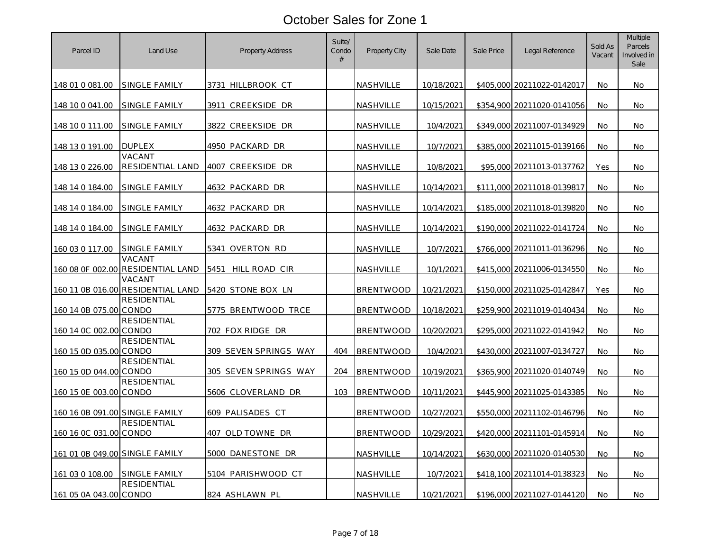| Parcel ID                      | Land Use                                    | <b>Property Address</b> | Suite/<br>Condo<br># | <b>Property City</b> | Sale Date  | Sale Price | Legal Reference            | Sold As<br>Vacant | Multiple<br>Parcels<br>Involved in<br>Sale |
|--------------------------------|---------------------------------------------|-------------------------|----------------------|----------------------|------------|------------|----------------------------|-------------------|--------------------------------------------|
| 148 01 0 081.00                | SINGLE FAMILY                               | 3731 HILLBROOK CT       |                      | NASHVILLE            | 10/18/2021 |            | \$405,000 20211022-0142017 | No                | No                                         |
| 148 10 0 041.00                | SINGLE FAMILY                               | 3911 CREEKSIDE DR       |                      | <b>NASHVILLE</b>     | 10/15/2021 |            | \$354,900 20211020-0141056 | No                | <b>No</b>                                  |
| 148 10 0 111.00                | <b>SINGLE FAMILY</b>                        | 3822 CREEKSIDE DR       |                      | NASHVILLE            | 10/4/2021  |            | \$349,000 20211007-0134929 | No                | No                                         |
| 148 13 0 191.00                | <b>DUPLEX</b>                               | 4950 PACKARD DR         |                      | NASHVILLE            | 10/7/2021  |            | \$385,000 20211015-0139166 | No                | Νo                                         |
| 148 13 0 226.00                | VACANT<br>RESIDENTIAL LAND                  | 4007 CREEKSIDE DR       |                      | NASHVILLE            | 10/8/2021  |            | \$95,000 20211013-0137762  | Yes               | No                                         |
| 148 14 0 184.00                | <b>SINGLE FAMILY</b>                        | 4632 PACKARD DR         |                      | <b>NASHVILLE</b>     | 10/14/2021 | \$111,000  | 20211018-0139817           | No                | No                                         |
| 148 14 0 184.00                | SINGLE FAMILY                               | 4632 PACKARD DR         |                      | NASHVILLE            | 10/14/2021 |            | \$185,000 20211018-0139820 | No                | No                                         |
| 148 14 0 184.00                | SINGLE FAMILY                               | 4632 PACKARD DR         |                      | <u>NASHVILLE</u>     | 10/14/2021 |            | \$190,000 20211022-0141724 | No                | No                                         |
| 160 03 0 117.00                | SINGLE FAMILY                               | 5341 OVERTON RD         |                      | NASHVILLE            | 10/7/2021  |            | \$766,000 20211011-0136296 | No                | No                                         |
|                                | VACANT<br>160 08 OF 002.00 RESIDENTIAL LAND | 5451<br>HILL ROAD CIR   |                      | <b>NASHVILLE</b>     | 10/1/2021  |            | \$415,000 20211006-0134550 | No                | No                                         |
|                                | VACANT<br>160 11 0B 016.00 RESIDENTIAL LAND | 5420 STONE BOX LN       |                      | <b>BRENTWOOD</b>     | 10/21/2021 |            | \$150,000 20211025-0142847 | Yes               | No                                         |
| 160 14 0B 075.00 CONDO         | <b>RESIDENTIAL</b>                          | 5775 BRENTWOOD TRCE     |                      | <b>BRENTWOOD</b>     | 10/18/2021 |            | \$259,900 20211019-0140434 | No                | No                                         |
| 160 14 0C 002.00 CONDO         | <b>RESIDENTIAL</b>                          | 702 FOX RIDGE DR        |                      | <b>BRENTWOOD</b>     | 10/20/2021 |            | \$295,000 20211022-0141942 | No                | No                                         |
| 160 15 0D 035.00 CONDO         | <b>RESIDENTIAL</b>                          | 309 SEVEN SPRINGS WAY   | 404                  | <b>BRENTWOOD</b>     | 10/4/2021  |            | \$430,000 20211007-0134727 | No                | No                                         |
| 160 15 0D 044.00 CONDO         | <b>RESIDENTIAL</b>                          | 305 SEVEN SPRINGS WAY   | 204                  | <b>BRENTWOOD</b>     | 10/19/2021 |            | \$365,900 20211020-0140749 | No                | No                                         |
| 160 15 0E 003.00 CONDO         | RESIDENTIAL                                 | 5606 CLOVERLAND DR      | 103                  | <b>BRENTWOOD</b>     | 10/11/2021 |            | \$445,900 20211025-0143385 | No.               | No.                                        |
| 160 16 0B 091.00 SINGLE FAMILY |                                             | 609 PALISADES CT        |                      | <b>BRENTWOOD</b>     | 10/27/2021 | \$550,000  | 20211102-0146796           | No                | No                                         |
| 160 16 0C 031.00 CONDO         | RESIDENTIAL                                 | 407 OLD TOWNE DR        |                      | <b>BRENTWOOD</b>     | 10/29/2021 |            | \$420,000 20211101-0145914 | No.               | No.                                        |
| 161 01 0B 049.00 SINGLE FAMILY |                                             | 5000 DANESTONE DR       |                      | NASHVILLE            | 10/14/2021 |            | \$630,000 20211020-0140530 | No                | No                                         |
| 161 03 0 108.00                | SINGLE FAMILY                               | 5104 PARISHWOOD CT      |                      | NASHVILLE            | 10/7/2021  |            | \$418,100 20211014-0138323 | No                | No.                                        |
| 161 05 0A 043.00 CONDO         | RESIDENTIAL                                 | 824 ASHLAWN PL          |                      | NASHVILLE            | 10/21/2021 |            | \$196,000 20211027-0144120 | No                | No                                         |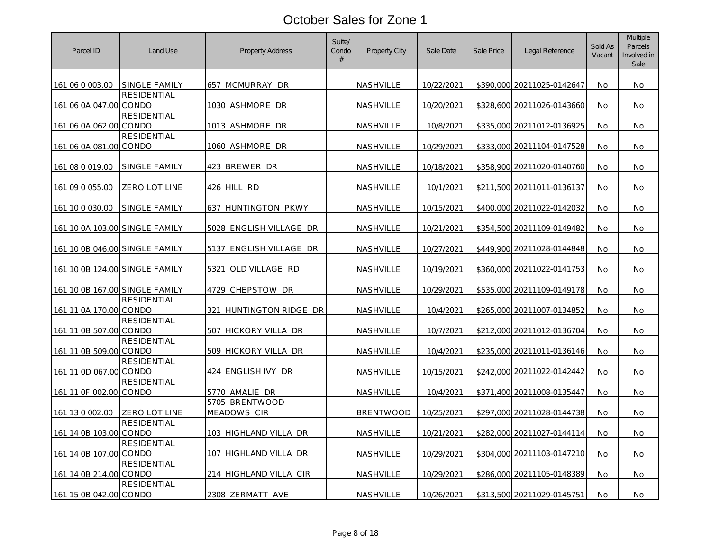| Parcel ID                      | Land Use             | <b>Property Address</b>       | Suite/<br>Condo<br># | Property City    | Sale Date  | Sale Price | Legal Reference            | Sold As<br>Vacant | Multiple<br>Parcels<br>Involved in<br>Sale |
|--------------------------------|----------------------|-------------------------------|----------------------|------------------|------------|------------|----------------------------|-------------------|--------------------------------------------|
| 161 06 0 003.00                | SINGLE FAMILY        | 657 MCMURRAY DR               |                      | NASHVILLE        | 10/22/2021 |            | \$390,000 20211025-0142647 | No                | No.                                        |
| 161 06 0A 047.00 CONDO         | <b>RESIDENTIAL</b>   | 1030 ASHMORE DR               |                      | NASHVILLE        | 10/20/2021 |            | \$328,600 20211026-0143660 | No                | No                                         |
| 161 06 0A 062.00 CONDO         | <b>RESIDENTIAL</b>   | 1013 ASHMORE DR               |                      | NASHVILLE        | 10/8/2021  |            | \$335,000 20211012-0136925 | No.               | No.                                        |
| 161 06 0A 081.00 CONDO         | RESIDENTIAL          | 1060 ASHMORE DR               |                      | NASHVILLE        | 10/29/2021 |            | \$333,000 20211104-0147528 | No                | No.                                        |
| 161 08 0 019.00                | SINGLE FAMILY        | 423 BREWER DR                 |                      | NASHVILLE        | 10/18/2021 |            | \$358,900 20211020-0140760 | No                | No.                                        |
| 161 09 0 055.00                | ZERO LOT LINE        | 426 HILL RD                   |                      | NASHVILLE        | 10/1/2021  |            | \$211,500 20211011-0136137 | No                | No.                                        |
| 161 10 0 030.00                | <b>SINGLE FAMILY</b> | 637 HUNTINGTON PKWY           |                      | NASHVILLE        | 10/15/2021 |            | \$400,000 20211022-0142032 | No                | No.                                        |
| 161 10 0A 103.00 SINGLE FAMILY |                      | 5028 ENGLISH VILLAGE DR       |                      | NASHVILLE        | 10/21/2021 |            | \$354,500 20211109-0149482 | No                | No.                                        |
| 161 10 0B 046.00 SINGLE FAMILY |                      | 5137 ENGLISH VILLAGE DR       |                      | <b>NASHVILLE</b> | 10/27/2021 |            | \$449,900 20211028-0144848 | No                | No.                                        |
| 161 10 0B 124.00 SINGLE FAMILY |                      | 5321<br>OLD VILLAGE RD        |                      | NASHVILLE        | 10/19/2021 |            | \$360,000 20211022-0141753 | No                | No.                                        |
| 161 10 0B 167.00 SINGLE FAMILY |                      | 4729 CHEPSTOW DR              |                      | NASHVILLE        | 10/29/2021 |            | \$535,000 20211109-0149178 | No                | No.                                        |
| 161 11 0A 170.00 CONDO         | RESIDENTIAL          | 321 HUNTINGTON RIDGE DR       |                      | NASHVILLE        | 10/4/2021  |            | \$265,000 20211007-0134852 | No                | No.                                        |
| 161 11 0B 507.00 CONDO         | RESIDENTIAL          | 507 HICKORY VILLA DR          |                      | <u>NASHVILLE</u> | 10/7/2021  |            | \$212,000 20211012-0136704 | No                | No.                                        |
| 161 11 0B 509.00 CONDO         | <b>RESIDENTIAL</b>   | 509 HICKORY VILLA DR          |                      | NASHVILLE        | 10/4/2021  |            | \$235,000 20211011-0136146 | No                | No                                         |
| 161 11 0D 067.00 CONDO         | <b>RESIDENTIAL</b>   | 424 ENGLISH IVY DR            |                      | NASHVILLE        | 10/15/2021 |            | \$242,000 20211022-0142442 | No                | No.                                        |
| 161 11 0F 002.00 CONDO         | RESIDENTIAL          | 5770 AMALIE DR                |                      | NASHVILLE        | 10/4/2021  |            | \$371,400 20211008-0135447 | No.               | No.                                        |
| 161 13 0 002.00                | ZERO LOT LINE        | 5705 BRENTWOOD<br>MEADOWS CIR |                      | <b>BRENTWOOD</b> | 10/25/2021 |            | \$297,000 20211028-0144738 | No                | No                                         |
| 161 14 0B 103.00 CONDO         | <b>RESIDENTIAL</b>   | 103 HIGHLAND VILLA DR         |                      | NASHVILLE        | 10/21/2021 |            | \$282,000 20211027-0144114 | No                | No.                                        |
| 161 14 0B 107.00 CONDO         | <b>RESIDENTIAL</b>   | 107 HIGHLAND VILLA DR         |                      | NASHVILLE        | 10/29/2021 |            | \$304,000 20211103-0147210 | No                | No.                                        |
| 161 14 0B 214.00 CONDO         | RESIDENTIAL          | 214 HIGHLAND VILLA CIR        |                      | NASHVILLE        | 10/29/2021 |            | \$286,000 20211105-0148389 | No                | No.                                        |
| 161 15 0B 042.00 CONDO         | <b>RESIDENTIAL</b>   | 2308 ZERMATT AVE              |                      | NASHVILLE        | 10/26/2021 |            | \$313,500 20211029-0145751 | No                | No.                                        |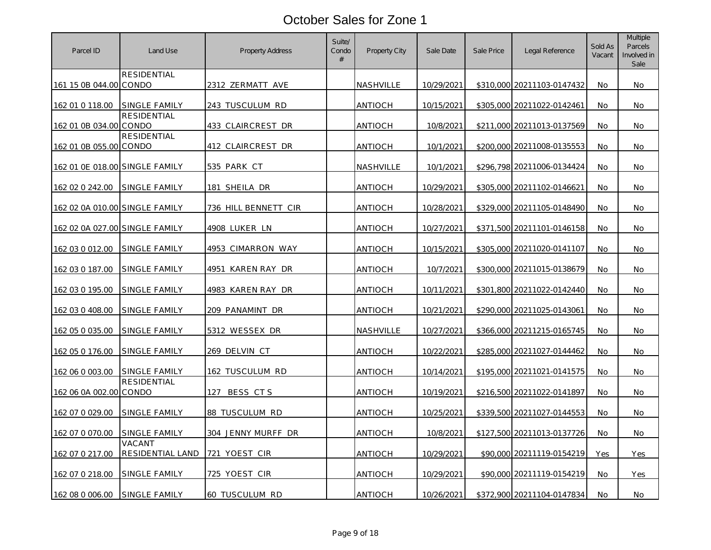| Parcel ID                      | Land Use                   | <b>Property Address</b> | Suite/<br>Condo<br># | Property City  | Sale Date  | Sale Price | Legal Reference            | Sold As<br>Vacant | Multiple<br>Parcels<br>Involved in<br>Sale |
|--------------------------------|----------------------------|-------------------------|----------------------|----------------|------------|------------|----------------------------|-------------------|--------------------------------------------|
| 161 15 0B 044.00 CONDO         | RESIDENTIAL                | 2312 ZERMATT AVE        |                      | NASHVILLE      | 10/29/2021 |            | \$310,000 20211103-0147432 | No                | No.                                        |
| 162 01 0 118.00                | SINGLE FAMILY              | 243 TUSCULUM RD         |                      | <b>ANTIOCH</b> | 10/15/2021 |            | \$305,000 20211022-0142461 | No                | No.                                        |
| 162 01 0B 034.00 CONDO         | RESIDENTIAL                | 433 CLAIRCREST DR       |                      | <b>ANTIOCH</b> | 10/8/2021  |            | \$211,000 20211013-0137569 | No.               | No                                         |
| 162 01 0B 055.00 CONDO         | <b>RESIDENTIAL</b>         | 412 CLAIRCREST DR       |                      | <b>ANTIOCH</b> | 10/1/2021  |            | \$200,000 20211008-0135553 | No                | No.                                        |
| 162 01 OE 018.00 SINGLE FAMILY |                            | 535 PARK CT             |                      | NASHVILLE      | 10/1/2021  |            | \$296,798 20211006-0134424 | No                | No.                                        |
| 162 02 0 242.00                | SINGLE FAMILY              | 181 SHEILA DR           |                      | <b>ANTIOCH</b> | 10/29/2021 | \$305,000  | 20211102-0146621           | No                | No.                                        |
| 162 02 0A 010.00 SINGLE FAMILY |                            | 736 HILL BENNETT CIR    |                      | <b>ANTIOCH</b> | 10/28/2021 |            | \$329,000 20211105-0148490 | No                | No.                                        |
| 162 02 0A 027.00 SINGLE FAMILY |                            | 4908 LUKER LN           |                      | <b>ANTIOCH</b> | 10/27/2021 |            | \$371,500 20211101-0146158 | No                | No.                                        |
| 162 03 0 012.00                | SINGLE FAMILY              | 4953 CIMARRON WAY       |                      | <b>ANTIOCH</b> | 10/15/2021 |            | \$305,000 20211020-0141107 | No.               | No.                                        |
| 162 03 0 187.00                | SINGLE FAMILY              | 4951 KAREN RAY DR       |                      | <b>ANTIOCH</b> | 10/7/2021  |            | \$300,000 20211015-0138679 | No                | No.                                        |
| 162 03 0 195.00                | <b>SINGLE FAMILY</b>       | 4983 KAREN RAY DR       |                      | <u>ANTIOCH</u> | 10/11/2021 |            | \$301,800 20211022-0142440 | No                | No.                                        |
| 162 03 0 408.00                | SINGLE FAMILY              | 209 PANAMINT DR         |                      | <b>ANTIOCH</b> | 10/21/2021 |            | \$290,000 20211025-0143061 | No                | <b>No</b>                                  |
| 162 05 0 035.00                | SINGLE FAMILY              | 5312 WESSEX DR          |                      | NASHVILLE      | 10/27/2021 |            | \$366,000 20211215-0165745 | No                | No.                                        |
| 162 05 0 176.00                | SINGLE FAMILY              | 269 DELVIN CT           |                      | ANTIOCH        | 10/22/2021 |            | \$285,000 20211027-0144462 | No                | No                                         |
| 162 06 0 003.00                | SINGLE FAMILY              | 162 TUSCULUM RD         |                      | <b>ANTIOCH</b> | 10/14/2021 |            | \$195,000 20211021-0141575 | No                | No.                                        |
| 162 06 0A 002.00 CONDO         | <b>RESIDENTIAL</b>         | 127 BESS CTS            |                      | <b>ANTIOCH</b> | 10/19/2021 |            | \$216,500 20211022-0141897 | No                | No                                         |
| 162 07 0 029.00                | SINGLE FAMILY              | 88 TUSCULUM RD          |                      | <b>ANTIOCH</b> | 10/25/2021 |            | \$339,500 20211027-0144553 | No                | <b>No</b>                                  |
| 162 07 0 070.00                | SINGLE FAMILY              | 304 JENNY MURFF DR      |                      | ANTIOCH        | 10/8/2021  |            | \$127,500 20211013-0137726 | No                | No.                                        |
| 162 07 0 217.00                | VACANT<br>RESIDENTIAL LAND | 721 YOEST CIR           |                      | <b>ANTIOCH</b> | 10/29/2021 |            | \$90,000 20211119-0154219  | Yes               | Yes                                        |
| 162 07 0 218.00                | SINGLE FAMILY              | 725 YOEST CIR           |                      | <b>ANTIOCH</b> | 10/29/2021 |            | \$90,000 20211119-0154219  | <b>No</b>         | Yes                                        |
| 162 08 0 006.00                | SINGLE FAMILY              | 60 TUSCULUM RD          |                      | ANTIOCH        | 10/26/2021 |            | \$372,900 20211104-0147834 | No.               | No.                                        |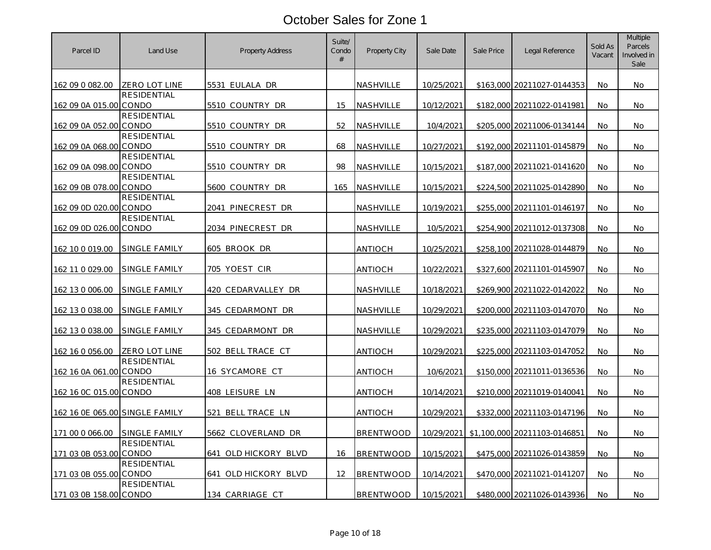| Parcel ID                      | Land Use           | <b>Property Address</b> | Suite/<br>Condo<br># | Property City    | Sale Date         | Sale Price | Legal Reference              | Sold As<br>Vacant | Multiple<br>Parcels<br>Involved in<br>Sale |
|--------------------------------|--------------------|-------------------------|----------------------|------------------|-------------------|------------|------------------------------|-------------------|--------------------------------------------|
| 162 09 0 082.00                | ZERO LOT LINE      | 5531 EULALA DR          |                      | NASHVILLE        | 10/25/2021        |            | \$163,000 20211027-0144353   | No                | No.                                        |
| 162 09 0A 015.00 CONDO         | <b>RESIDENTIAL</b> | 5510 COUNTRY DR         | 15                   | NASHVILLE        | 10/12/2021        |            | \$182,000 20211022-0141981   | No                | No.                                        |
| 162 09 0A 052.00 CONDO         | <b>RESIDENTIAL</b> | 5510 COUNTRY DR         | 52                   | NASHVILLE        | 10/4/2021         |            | \$205,000 20211006-0134144   | No.               | No.                                        |
| 162 09 0A 068.00 CONDO         | <b>RESIDENTIAL</b> | 5510 COUNTRY DR         | 68                   | NASHVILLE        | 10/27/2021        |            | \$192,000 20211101-0145879   | No                | No.                                        |
| 162 09 0A 098.00 CONDO         | <b>RESIDENTIAL</b> | 5510 COUNTRY DR         | 98                   | NASHVILLE        | 10/15/2021        |            | \$187,000 20211021-0141620   | No                | No.                                        |
| 162 09 0B 078.00 CONDO         | <b>RESIDENTIAL</b> | 5600 COUNTRY DR         | 165                  | NASHVILLE        | 10/15/2021        |            | \$224,500 20211025-0142890   | No                | No.                                        |
| 162 09 0D 020.00 CONDO         | RESIDENTIAL        | 2041 PINECREST DR       |                      | NASHVILLE        | 10/19/2021        |            | \$255,000 20211101-0146197   | No.               | No                                         |
| 162 09 0D 026.00 CONDO         | <b>RESIDENTIAL</b> | 2034 PINECREST DR       |                      | NASHVILLE        | 10/5/2021         |            | \$254,900 20211012-0137308   | No                | No.                                        |
| 162 10 0 019.00                | SINGLE FAMILY      | 605 BROOK DR            |                      | <b>ANTIOCH</b>   | 10/25/2021        |            | \$258,100 20211028-0144879   | No                | No.                                        |
| 162 11 0 029.00                | SINGLE FAMILY      | 705 YOEST CIR           |                      | <b>ANTIOCH</b>   | 10/22/2021        |            | \$327,600 20211101-0145907   | No                | No.                                        |
| 162 13 0 006.00                | SINGLE FAMILY      | 420 CEDARVALLEY DR      |                      | NASHVILLE        | 10/18/2021        |            | \$269,900 20211022-0142022   | No                | No.                                        |
| 162 13 0 038.00                | SINGLE FAMILY      | <u>345 CEDARMONT DR</u> |                      | <u>NASHVILLE</u> | <u>10/29/2021</u> |            | \$200,000 20211103-0147070   | No                | No.                                        |
| 162 13 0 038.00                | SINGLE FAMILY      | 345 CEDARMONT DR        |                      | NASHVILLE        | 10/29/2021        |            | \$235,000 20211103-0147079   | No                | No.                                        |
| 162 16 0 056.00                | ZERO LOT LINE      | 502 BELL TRACE CT       |                      | <b>ANTIOCH</b>   | 10/29/2021        |            | \$225,000 20211103-0147052   | No                | No                                         |
| 162 16 0A 061.00 CONDO         | RESIDENTIAL        | 16 SYCAMORE CT          |                      | <b>ANTIOCH</b>   | 10/6/2021         |            | \$150,000 20211011-0136536   | No                | No.                                        |
| 162 16 0C 015.00 CONDO         | <b>RESIDENTIAL</b> | 408 LEISURE LN          |                      | <b>ANTIOCH</b>   | 10/14/2021        |            | \$210,000 20211019-0140041   | No                | No                                         |
| 162 16 0E 065.00 SINGLE FAMILY |                    | 521 BELL TRACE LN       |                      | <b>ANTIOCH</b>   | 10/29/2021        |            | \$332,000 20211103-0147196   | No                | No.                                        |
| 171 00 0 066.00                | SINGLE FAMILY      | 5662 CLOVERLAND DR      |                      | <b>BRENTWOOD</b> | 10/29/2021        |            | \$1,100,000 20211103-0146851 | No                | No.                                        |
| 171 03 0B 053.00 CONDO         | RESIDENTIAL        | 641 OLD HICKORY BLVD    | 16                   | <b>BRENTWOOD</b> | 10/15/2021        |            | \$475,000 20211026-0143859   | No                | No.                                        |
| 171 03 0B 055.00 CONDO         | <b>RESIDENTIAL</b> | 641 OLD HICKORY BLVD    | 12                   | <b>BRENTWOOD</b> | 10/14/2021        |            | \$470,000 20211021-0141207   | No.               | No.                                        |
| 171 03 0B 158.00 CONDO         | RESIDENTIAL        | 134 CARRIAGE CT         |                      | <b>BRENTWOOD</b> | 10/15/2021        |            | \$480,000 20211026-0143936   | No.               | No                                         |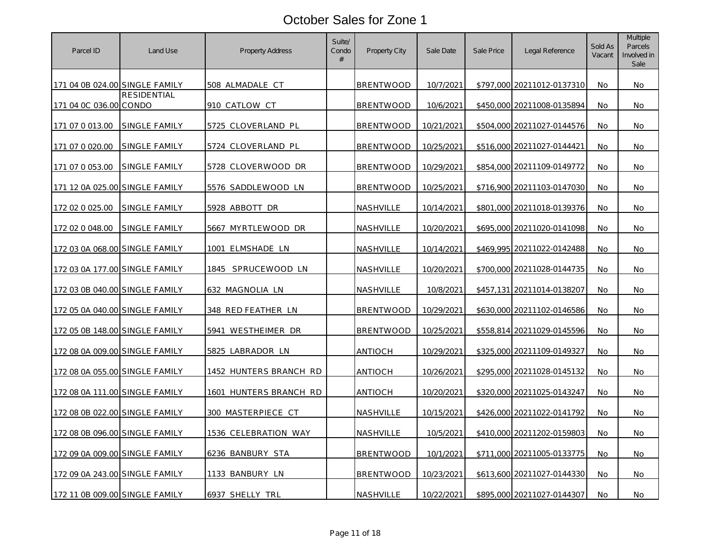| Parcel ID                      | Land Use             | <b>Property Address</b>   | Suite/<br>Condo<br># | Property City    | Sale Date         | Sale Price | Legal Reference            | Sold As<br>Vacant | Multiple<br>Parcels<br>Involved in<br>Sale |
|--------------------------------|----------------------|---------------------------|----------------------|------------------|-------------------|------------|----------------------------|-------------------|--------------------------------------------|
| 171 04 0B 024.00 SINGLE FAMILY |                      | 508 ALMADALE CT           |                      | <b>BRENTWOOD</b> | 10/7/2021         |            | \$797,000 20211012-0137310 | No                | No.                                        |
| 171 04 0C 036.00 CONDO         | RESIDENTIAL          | 910 CATLOW CT             |                      | <b>BRENTWOOD</b> | 10/6/2021         |            | \$450,000 20211008-0135894 | No                | No                                         |
| 171 07 0 013.00                | SINGLE FAMILY        | 5725 CLOVERLAND PL        |                      | <b>BRENTWOOD</b> | 10/21/2021        |            | \$504,000 20211027-0144576 | No.               | No.                                        |
| 171 07 0 020.00                | SINGLE FAMILY        | 5724 CLOVERLAND PL        |                      | <b>BRENTWOOD</b> | 10/25/2021        |            | \$516,000 20211027-0144421 | No                | No.                                        |
| 171 07 0 053.00                | SINGLE FAMILY        | 5728 CLOVERWOOD DR        |                      | <b>BRENTWOOD</b> | 10/29/2021        |            | \$854,000 20211109-0149772 | No                | No.                                        |
| 171 12 0A 025.00 SINGLE FAMILY |                      | 5576 SADDLEWOOD LN        |                      | <b>BRENTWOOD</b> | 10/25/2021        |            | \$716,900 20211103-0147030 | No                | No.                                        |
| 172 02 0 025.00                | <b>SINGLE FAMILY</b> | 5928 ABBOTT DR            |                      | NASHVILLE        | 10/14/2021        |            | \$801,000 20211018-0139376 | No.               | No                                         |
| 172 02 0 048.00                | SINGLE FAMILY        | 5667 MYRTLEWOOD DR        |                      | NASHVILLE        | 10/20/2021        |            | \$695,000 20211020-0141098 | No                | No.                                        |
| 172 03 0A 068.00 SINGLE FAMILY |                      | 1001 ELMSHADE LN          |                      | NASHVILLE        | 10/14/2021        |            | \$469,995 20211022-0142488 | No                | No.                                        |
| 172 03 0A 177.00 SINGLE FAMILY |                      | 1845 SPRUCEWOOD LN        |                      | NASHVILLE        | 10/20/2021        |            | \$700,000 20211028-0144735 | No                | No.                                        |
| 172 03 0B 040.00 SINGLE FAMILY |                      | 632 MAGNOLIA LN           |                      | NASHVILLE        | 10/8/2021         |            | \$457,131 20211014-0138207 | No                | No.                                        |
| 172 05 0A 040.00 SINGLE FAMILY |                      | <u>348 RED FEATHER LN</u> |                      | <b>BRENTWOOD</b> | <u>10/29/2021</u> |            | \$630,000 20211102-0146586 | No                | No.                                        |
| 172 05 0B 148.00 SINGLE FAMILY |                      | 5941 WESTHEIMER DR        |                      | <b>BRENTWOOD</b> | 10/25/2021        |            | \$558,814 20211029-0145596 | No                | No.                                        |
| 172 08 0A 009.00 SINGLE FAMILY |                      | 5825 LABRADOR LN          |                      | <b>ANTIOCH</b>   | 10/29/2021        |            | \$325,000 20211109-0149327 | No                | No                                         |
| 172 08 0A 055.00 SINGLE FAMILY |                      | 1452 HUNTERS BRANCH RD    |                      | <b>ANTIOCH</b>   | 10/26/2021        |            | \$295,000 20211028-0145132 | No                | No.                                        |
| 172 08 0A 111.00 SINGLE FAMILY |                      | 1601 HUNTERS BRANCH RD    |                      | <b>ANTIOCH</b>   | 10/20/2021        |            | \$320,000 20211025-0143247 | No                | No                                         |
| 172 08 0B 022.00 SINGLE FAMILY |                      | 300 MASTERPIECE CT        |                      | NASHVILLE        | 10/15/2021        |            | \$426,000 20211022-0141792 | No                | No.                                        |
| 172 08 0B 096.00 SINGLE FAMILY |                      | 1536 CELEBRATION WAY      |                      | NASHVILLE        | 10/5/2021         |            | \$410,000 20211202-0159803 | No                | No.                                        |
| 172 09 0A 009.00 SINGLE FAMILY |                      | 6236 BANBURY STA          |                      | <b>BRENTWOOD</b> | 10/1/2021         |            | \$711,000 20211005-0133775 | No                | No.                                        |
| 172 09 0A 243.00 SINGLE FAMILY |                      | 1133 BANBURY LN           |                      | <b>BRENTWOOD</b> | 10/23/2021        |            | \$613,600 20211027-0144330 | No.               | No.                                        |
| 172 11 0B 009.00 SINGLE FAMILY |                      | 6937 SHELLY TRL           |                      | NASHVILLE        | 10/22/2021        |            | \$895,000 20211027-0144307 | No.               | No.                                        |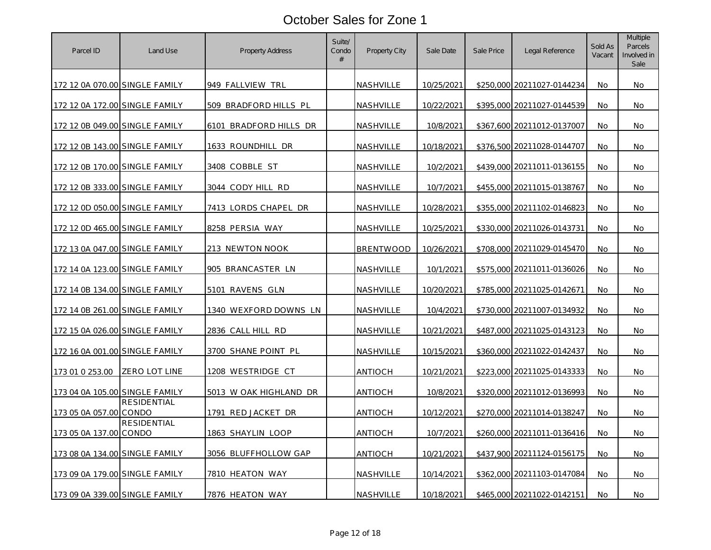| Parcel ID                      | Land Use           | <b>Property Address</b>      | Suite/<br>Condo<br># | Property City    | Sale Date  | Sale Price | Legal Reference            | Sold As<br>Vacant | Multiple<br>Parcels<br>Involved in<br>Sale |
|--------------------------------|--------------------|------------------------------|----------------------|------------------|------------|------------|----------------------------|-------------------|--------------------------------------------|
| 172 12 0A 070.00 SINGLE FAMILY |                    | 949 FALLVIEW TRL             |                      | NASHVILLE        | 10/25/2021 |            | \$250,000 20211027-0144234 | No                | No.                                        |
| 172 12 0A 172.00 SINGLE FAMILY |                    | 509 BRADFORD HILLS PL        |                      | NASHVILLE        | 10/22/2021 |            | \$395,000 20211027-0144539 | No                | No                                         |
| 172 12 0B 049.00 SINGLE FAMILY |                    | BRADFORD HILLS DR<br>6101    |                      | NASHVILLE        | 10/8/2021  |            | \$367,600 20211012-0137007 | No.               | No.                                        |
| 172 12 0B 143.00 SINGLE FAMILY |                    | 1633 ROUNDHILL DR            |                      | NASHVILLE        | 10/18/2021 |            | \$376,500 20211028-0144707 | No                | No.                                        |
| 172 12 0B 170.00 SINGLE FAMILY |                    | 3408 COBBLE ST               |                      | NASHVILLE        | 10/2/2021  |            | \$439,000 20211011-0136155 | No.               | No.                                        |
| 172 12 0B 333.00 SINGLE FAMILY |                    | 3044 CODY HILL RD            |                      | NASHVILLE        | 10/7/2021  |            | \$455,000 20211015-0138767 | No                | No.                                        |
| 172 12 0D 050.00 SINGLE FAMILY |                    | 7413 LORDS CHAPEL DR         |                      | NASHVILLE        | 10/28/2021 |            | \$355,000 20211102-0146823 | No.               | No                                         |
| 172 12 0D 465.00 SINGLE FAMILY |                    | 8258 PERSIA WAY              |                      | NASHVILLE        | 10/25/2021 |            | \$330,000 20211026-0143731 | No                | No.                                        |
| 172 13 0A 047.00 SINGLE FAMILY |                    | 213 NEWTON NOOK              |                      | <b>BRENTWOOD</b> | 10/26/2021 |            | \$708,000 20211029-0145470 | No                | No.                                        |
| 172 14 0A 123.00 SINGLE FAMILY |                    | 905 BRANCASTER LN            |                      | <b>NASHVILLE</b> | 10/1/2021  |            | \$575,000 20211011-0136026 | No                | No.                                        |
| 172 14 0B 134.00 SINGLE FAMILY |                    | 5101 RAVENS GLN              |                      | NASHVILLE        | 10/20/2021 |            | \$785,000 20211025-0142671 | No                | No.                                        |
| 172 14 0B 261.00 SINGLE FAMILY |                    | <u>1340 WEXFORD DOWNS LN</u> |                      | <b>NASHVILLE</b> | 10/4/2021  |            | \$730,000 20211007-0134932 | No                | No.                                        |
| 172 15 0A 026.00 SINGLE FAMILY |                    | 2836 CALL HILL RD            |                      | NASHVILLE        | 10/21/2021 |            | \$487,000 20211025-0143123 | No                | No.                                        |
| 172 16 0A 001.00 SINGLE FAMILY |                    | 3700 SHANE POINT PL          |                      | NASHVILLE        | 10/15/2021 |            | \$360,000 20211022-0142437 | No                | No                                         |
| 173 01 0 253.00                | ZERO LOT LINE      | 1208 WESTRIDGE CT            |                      | <b>ANTIOCH</b>   | 10/21/2021 |            | \$223,000 20211025-0143333 | No                | No.                                        |
| 173 04 0A 105.00 SINGLE FAMILY |                    | 5013 W OAK HIGHLAND DR       |                      | <b>ANTIOCH</b>   | 10/8/2021  |            | \$320,000 20211012-0136993 | No                | No                                         |
| 173 05 0A 057.00 CONDO         | <b>RESIDENTIAL</b> | 1791 RED JACKET DR           |                      | <b>ANTIOCH</b>   | 10/12/2021 |            | \$270,000 20211014-0138247 | No                | No.                                        |
| 173 05 0A 137.00 CONDO         | <b>RESIDENTIAL</b> | 1863 SHAYLIN LOOP            |                      | ANTIOCH          | 10/7/2021  |            | \$260,000 20211011-0136416 | No                | No.                                        |
| 173 08 0A 134.00 SINGLE FAMILY |                    | 3056 BLUFFHOLLOW GAP         |                      | <u>ANTIOCH</u>   | 10/21/2021 |            | \$437,900 20211124-0156175 | No                | No.                                        |
| 173 09 0A 179.00 SINGLE FAMILY |                    | 7810 HEATON WAY              |                      | NASHVILLE        | 10/14/2021 |            | \$362,000 20211103-0147084 | No.               | No.                                        |
| 173 09 0A 339.00 SINGLE FAMILY |                    | 7876 HEATON WAY              |                      | NASHVILLE        | 10/18/2021 |            | \$465,000 20211022-0142151 | No.               | No.                                        |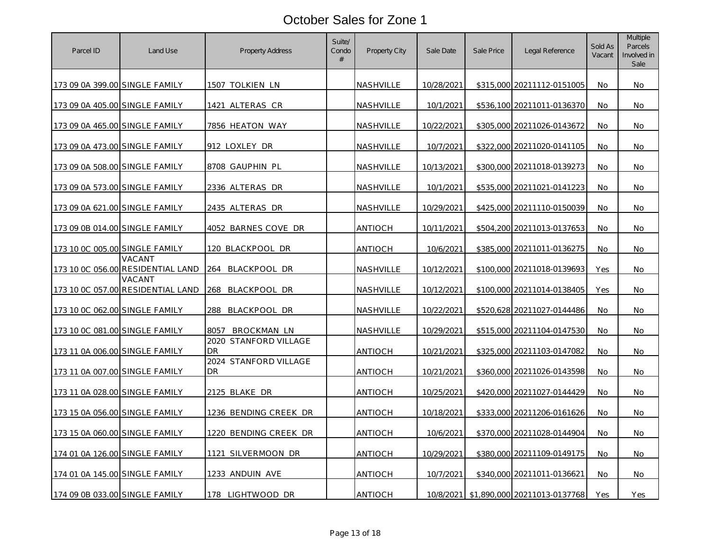| Parcel ID                      | Land Use                                    | <b>Property Address</b>     | Suite/<br>Condo<br># | Property City    | Sale Date  | Sale Price | Legal Reference              | Sold As<br>Vacant | Multiple<br>Parcels<br>Involved in<br>Sale |
|--------------------------------|---------------------------------------------|-----------------------------|----------------------|------------------|------------|------------|------------------------------|-------------------|--------------------------------------------|
| 173 09 0A 399.00 SINGLE FAMILY |                                             | 1507 TOLKIEN LN             |                      | NASHVILLE        | 10/28/2021 |            | \$315,000 20211112-0151005   | No                | No.                                        |
| 173 09 0A 405.00 SINGLE FAMILY |                                             | 1421 ALTERAS CR             |                      | NASHVILLE        | 10/1/2021  |            | \$536,100 20211011-0136370   | No                | No                                         |
| 173 09 0A 465.00 SINGLE FAMILY |                                             | 7856 HEATON WAY             |                      | NASHVILLE        | 10/22/2021 |            | \$305,000 20211026-0143672   | No.               | No.                                        |
| 173 09 0A 473.00 SINGLE FAMILY |                                             | 912 LOXLEY DR               |                      | NASHVILLE        | 10/7/2021  |            | \$322,000 20211020-0141105   | No                | No.                                        |
| 173 09 0A 508.00 SINGLE FAMILY |                                             | 8708 GAUPHIN PL             |                      | NASHVILLE        | 10/13/2021 |            | \$300,000 20211018-0139273   | No.               | No.                                        |
| 173 09 0A 573.00 SINGLE FAMILY |                                             | 2336 ALTERAS DR             |                      | NASHVILLE        | 10/1/2021  |            | \$535,000 20211021-0141223   | No                | No.                                        |
| 173 09 0A 621.00 SINGLE FAMILY |                                             | 2435 ALTERAS DR             |                      | NASHVILLE        | 10/29/2021 |            | \$425,000 20211110-0150039   | No.               | No                                         |
| 173 09 0B 014.00 SINGLE FAMILY |                                             | 4052 BARNES COVE DR         |                      | ANTIOCH          | 10/11/2021 |            | \$504,200 20211013-0137653   | No                | No.                                        |
| 173 10 0C 005.00 SINGLE FAMILY |                                             | 120 BLACKPOOL DR            |                      | <b>ANTIOCH</b>   | 10/6/2021  |            | \$385,000 20211011-0136275   | No                | No.                                        |
|                                | VACANT<br>173 10 0C 056.00 RESIDENTIAL LAND | 264<br>BLACKPOOL DR         |                      | NASHVILLE        | 10/12/2021 |            | \$100,000 20211018-0139693   | Yes               | No.                                        |
|                                | VACANT<br>173 10 0C 057.00 RESIDENTIAL LAND | 268<br>BLACKPOOL DR         |                      | NASHVILLE        | 10/12/2021 |            | \$100,000 20211014-0138405   | Yes               | No.                                        |
| 173 10 0C 062.00 SINGLE FAMILY |                                             | BLACKPOOL DR<br>288         |                      | <u>NASHVILLE</u> | 10/22/2021 |            | \$520,628 20211027-0144486   | No                | No.                                        |
| 173 10 0C 081.00 SINGLE FAMILY |                                             | 8057<br>BROCKMAN LN         |                      | NASHVILLE        | 10/29/2021 |            | \$515,000 20211104-0147530   | No                | No.                                        |
| 173 11 0A 006.00 SINGLE FAMILY |                                             | 2020 STANFORD VILLAGE<br>DR |                      | <b>ANTIOCH</b>   | 10/21/2021 |            | \$325,000 20211103-0147082   | No                | No                                         |
| 173 11 0A 007.00 SINGLE FAMILY |                                             | 2024 STANFORD VILLAGE<br>DR |                      | <b>ANTIOCH</b>   | 10/21/2021 |            | \$360,000 20211026-0143598   | No                | No.                                        |
| 173 11 0A 028.00 SINGLE FAMILY |                                             | 2125 BLAKE DR               |                      | <b>ANTIOCH</b>   | 10/25/2021 |            | \$420,000 20211027-0144429   | No                | No                                         |
| 173 15 0A 056.00 SINGLE FAMILY |                                             | 1236 BENDING CREEK DR       |                      | <b>ANTIOCH</b>   | 10/18/2021 |            | \$333,000 20211206-0161626   | No                | No.                                        |
| 173 15 0A 060.00 SINGLE FAMILY |                                             | 1220 BENDING CREEK DR       |                      | ANTIOCH          | 10/6/2021  |            | \$370,000 20211028-0144904   | No                | No.                                        |
| 174 01 0A 126.00 SINGLE FAMILY |                                             | 1121 SILVERMOON DR          |                      | <u>ANTIOCH</u>   | 10/29/2021 |            | \$380,000 20211109-0149175   | No                | No.                                        |
| 174 01 0A 145.00 SINGLE FAMILY |                                             | 1233 ANDUIN AVE             |                      | <b>ANTIOCH</b>   | 10/7/2021  |            | \$340,000 20211011-0136621   | No.               | <b>No</b>                                  |
| 174 09 0B 033.00 SINGLE FAMILY |                                             | 178 LIGHTWOOD DR            |                      | <b>ANTIOCH</b>   | 10/8/2021  |            | \$1,890,000 20211013-0137768 | Yes               | Yes                                        |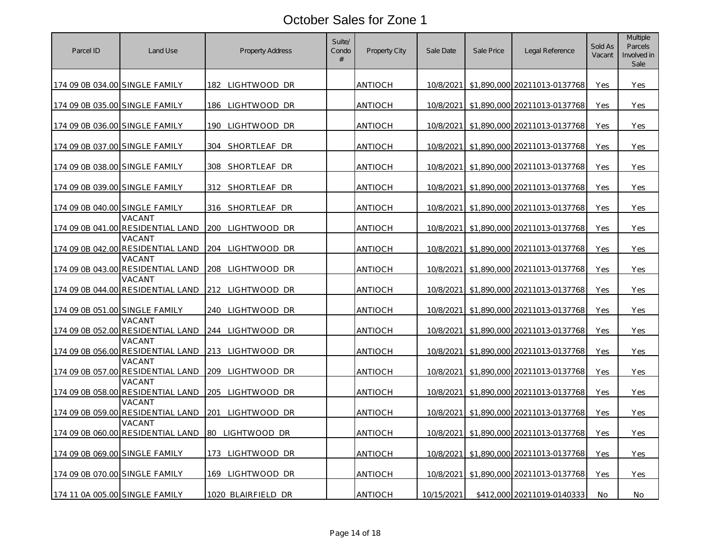| Parcel ID                      | Land Use                                    | <b>Property Address</b>     | Suite/<br>Condo<br># | Property City  | Sale Date  | Sale Price | Legal Reference                        | Sold As<br>Vacant | Multiple<br>Parcels<br>Involved in<br>Sale |
|--------------------------------|---------------------------------------------|-----------------------------|----------------------|----------------|------------|------------|----------------------------------------|-------------------|--------------------------------------------|
| 174 09 0B 034.00 SINGLE FAMILY |                                             | 182 LIGHTWOOD DR            |                      | ANTIOCH        |            |            | 10/8/2021 \$1,890,000 20211013-0137768 | Yes               | Yes                                        |
| 174 09 0B 035.00 SINGLE FAMILY |                                             | 186 LIGHTWOOD DR            |                      | <b>ANTIOCH</b> | 10/8/2021  |            | \$1,890,000 20211013-0137768           | Yes               | Yes                                        |
| 174 09 0B 036.00 SINGLE FAMILY |                                             | 190<br>LIGHTWOOD DR         |                      | <b>ANTIOCH</b> | 10/8/2021  |            | \$1,890,000 20211013-0137768           | Yes               | Yes                                        |
| 174 09 0B 037.00 SINGLE FAMILY |                                             | 304<br>SHORTLEAF DR         |                      | <b>ANTIOCH</b> | 10/8/2021  |            | \$1,890,000 20211013-0137768           | Yes               | Yes                                        |
| 174 09 0B 038.00 SINGLE FAMILY |                                             | 308<br>SHORTLEAF DR         |                      | <b>ANTIOCH</b> |            |            | 10/8/2021 \$1.890.000 20211013-0137768 | Yes               | Yes                                        |
| 174 09 0B 039.00 SINGLE FAMILY |                                             | 312 SHORTLEAF DR            |                      | <b>ANTIOCH</b> | 10/8/2021  |            | \$1,890,000 20211013-0137768           | Yes               | Yes                                        |
| 174 09 0B 040.00 SINGLE FAMILY |                                             | 316 SHORTLEAF DR            |                      | <b>ANTIOCH</b> |            |            | 10/8/2021 \$1,890,000 20211013-0137768 | Yes               | Yes                                        |
|                                | VACANT<br>174 09 0B 041.00 RESIDENTIAL LAND | 200 LIGHTWOOD DR            |                      | ANTIOCH        | 10/8/2021  |            | \$1,890,000 20211013-0137768           | Yes               | Yes                                        |
|                                | VACANT<br>174 09 0B 042.00 RESIDENTIAL LAND | 204<br>LIGHTWOOD DR         |                      | <b>ANTIOCH</b> | 10/8/2021  |            | \$1,890,000 20211013-0137768           | Yes               | Yes                                        |
|                                | VACANT<br>174 09 0B 043.00 RESIDENTIAL LAND | 208<br>LIGHTWOOD DR         |                      | <b>ANTIOCH</b> | 10/8/2021  |            | \$1,890,000 20211013-0137768           | Yes               | Yes                                        |
|                                | VACANT<br>174 09 0B 044.00 RESIDENTIAL LAND | 212 LIGHTWOOD DR            |                      | <b>ANTIOCH</b> | 10/8/2021  |            | \$1,890,000 20211013-0137768           | Yes               | Yes                                        |
| 174 09 0B 051.00 SINGLE FAMILY |                                             | LIGHTWOOD DR<br>240         |                      | <b>ANTIOCH</b> | 10/8/2021  |            | \$1,890,000 20211013-0137768           | Yes               | Yes                                        |
|                                | VACANT<br>174 09 0B 052.00 RESIDENTIAL LAND | 244 LIGHTWOOD DR            |                      | <b>ANTIOCH</b> | 10/8/2021  |            | \$1,890,000 20211013-0137768           | Yes               | Yes                                        |
|                                | VACANT<br>174 09 0B 056.00 RESIDENTIAL LAND | 213 LIGHTWOOD DR            |                      | <b>ANTIOCH</b> | 10/8/2021  |            | \$1,890,000 20211013-0137768           | Yes               | Yes                                        |
|                                | VACANT<br>174 09 0B 057.00 RESIDENTIAL LAND | LIGHTWOOD DR<br>209         |                      | <b>ANTIOCH</b> | 10/8/2021  |            | \$1,890,000 20211013-0137768           | Yes               | Yes                                        |
|                                | VACANT<br>174 09 0B 058.00 RESIDENTIAL LAND | 205 LIGHTWOOD DR            |                      | <b>ANTIOCH</b> |            |            | 10/8/2021 \$1,890,000 20211013-0137768 | Yes               | Yes                                        |
|                                | VACANT<br>174 09 0B 059.00 RESIDENTIAL LAND | 201<br>LI <u>GHTWOOD</u> DR |                      | <b>ANTIOCH</b> | 10/8/2021  |            | \$1,890,000 20211013-0137768           | Yes               | Yes                                        |
|                                | VACANT<br>174 09 0B 060.00 RESIDENTIAL LAND | 80 LIGHTWOOD DR             |                      | ANTIOCH        | 10/8/2021  |            | \$1,890,000 20211013-0137768           | Yes               | Yes                                        |
| 174 09 0B 069.00 SINGLE FAMILY |                                             | 173 LIGHTWOOD DR            |                      | <b>ANTIOCH</b> | 10/8/2021  |            | \$1,890,000 20211013-0137768           | Yes               | Yes                                        |
| 174 09 0B 070.00 SINGLE FAMILY |                                             | 169 LIGHTWOOD DR            |                      | <b>ANTIOCH</b> |            |            | 10/8/2021 \$1,890,000 20211013-0137768 | Yes               | Yes                                        |
| 174 11 0A 005.00 SINGLE FAMILY |                                             | 1020 BLAIRFIELD DR          |                      | <b>ANTIOCH</b> | 10/15/2021 |            | \$412,000 20211019-0140333             | No                | No.                                        |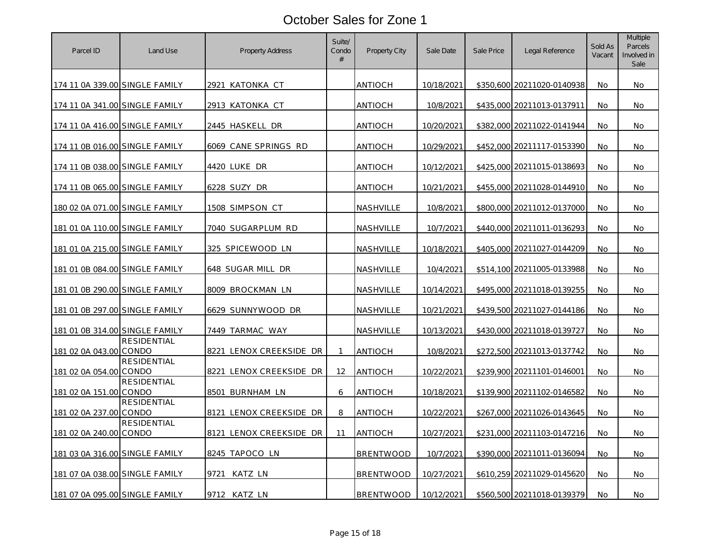| Parcel ID                             | Land Use           | <b>Property Address</b>  | Suite/<br>Condo<br># | <b>Property City</b> | Sale Date  | Sale Price | Legal Reference            | Sold As<br>Vacant | Multiple<br>Parcels<br>Involved in<br>Sale |
|---------------------------------------|--------------------|--------------------------|----------------------|----------------------|------------|------------|----------------------------|-------------------|--------------------------------------------|
| 174 11 0A 339.00 SINGLE FAMILY        |                    | 2921 KATONKA CT          |                      | ANTIOCH              | 10/18/2021 |            | \$350,600 20211020-0140938 | No                | No.                                        |
| 174 11 0A 341.00 SINGLE FAMILY        |                    | 2913 KATONKA CT          |                      | <b>ANTIOCH</b>       | 10/8/2021  |            | \$435,000 20211013-0137911 | No                | No.                                        |
| 174 11 0A 416.00 SINGLE FAMILY        |                    | 2445 HASKELL DR          |                      | <b>ANTIOCH</b>       | 10/20/2021 |            | \$382,000 20211022-0141944 | No.               | No.                                        |
| 174 11 0B 016.00 SINGLE FAMILY        |                    | 6069 CANE SPRINGS RD     |                      | <b>ANTIOCH</b>       | 10/29/2021 |            | \$452,000 20211117-0153390 | No                | No.                                        |
| 174 11 0B 038.00 SINGLE FAMILY        |                    | 4420 LUKE DR             |                      | <b>ANTIOCH</b>       | 10/12/2021 |            | \$425,000 20211015-0138693 | No.               | No.                                        |
| 174 11 0B 065.00 SINGLE FAMILY        |                    | 6228 SUZY DR             |                      | <b>ANTIOCH</b>       | 10/21/2021 |            | \$455,000 20211028-0144910 | No                | No.                                        |
| 180 02 0A 071.00 SINGLE FAMILY        |                    | 1508 SIMPSON CT          |                      | NASHVILLE            | 10/8/2021  |            | \$800,000 20211012-0137000 | No.               | No.                                        |
| 181 01 0A 110.00 SINGLE FAMILY        |                    | 7040 SUGARPLUM RD        |                      | NASHVILLE            | 10/7/2021  |            | \$440,000 20211011-0136293 | No                | No.                                        |
| 181 01 0A 215.00 SINGLE FAMILY        |                    | 325 SPICEWOOD LN         |                      | NASHVILLE            | 10/18/2021 |            | \$405,000 20211027-0144209 | No.               | No.                                        |
| 181 01 0B 084.00 SINGLE FAMILY        |                    | 648 SUGAR MILL DR        |                      | <b>NASHVILLE</b>     | 10/4/2021  |            | \$514,100 20211005-0133988 | No.               | No.                                        |
| 181 01 0B 290.00 SINGLE FAMILY        |                    | 8009 BROCKMAN LN         |                      | NASHVILLE            | 10/14/2021 |            | \$495,000 20211018-0139255 | No                | No.                                        |
| <u>181 01 0B 297.00 SINGLE FAMILY</u> |                    | <u>6629 SUNNYWOOD DR</u> |                      | NASHVILLE            | 10/21/2021 |            | \$439,500 20211027-0144186 | No                | No.                                        |
| 181 01 0B 314.00 SINGLE FAMILY        |                    | 7449 TARMAC WAY          |                      | NASHVILLE            | 10/13/2021 |            | \$430,000 20211018-0139727 | No                | No.                                        |
| 181 02 0A 043.00 CONDO                | RESIDENTIAL        | 8221 LENOX CREEKSIDE DR  | $\mathbf{1}$         | <b>ANTIOCH</b>       | 10/8/2021  |            | \$272,500 20211013-0137742 | No                | No                                         |
| 181 02 0A 054.00 CONDO                | RESIDENTIAL        | 8221 LENOX CREEKSIDE DR  | 12                   | <b>ANTIOCH</b>       | 10/22/2021 |            | \$239,900 20211101-0146001 | No                | No.                                        |
| 181 02 0A 151.00 CONDO                | <b>RESIDENTIAL</b> | 8501 BURNHAM LN          | 6                    | <b>ANTIOCH</b>       | 10/18/2021 |            | \$139,900 20211102-0146582 | No                | No                                         |
| 181 02 0A 237.00 CONDO                | <b>RESIDENTIAL</b> | 8121 LENOX CREEKSIDE DR  | 8                    | <b>ANTIOCH</b>       | 10/22/2021 |            | \$267,000 20211026-0143645 | No                | No.                                        |
| 181 02 0A 240.00 CONDO                | <b>RESIDENTIAL</b> | 8121 LENOX CREEKSIDE DR  | 11                   | <b>ANTIOCH</b>       | 10/27/2021 |            | \$231,000 20211103-0147216 | No                | No.                                        |
| 181 03 0A 316.00 SINGLE FAMILY        |                    | 8245 TAPOCO LN           |                      | <b>BRENTWOOD</b>     | 10/7/2021  |            | \$390,000 20211011-0136094 | No                | No.                                        |
| 181 07 0A 038.00 SINGLE FAMILY        |                    | KATZ LN<br>9721          |                      | <b>BRENTWOOD</b>     | 10/27/2021 |            | \$610,259 20211029-0145620 | No.               | No.                                        |
| 181 07 0A 095.00 SINGLE FAMILY        |                    | 9712 KATZ LN             |                      | <b>BRENTWOOD</b>     | 10/12/2021 |            | \$560,500 20211018-0139379 | No.               | No                                         |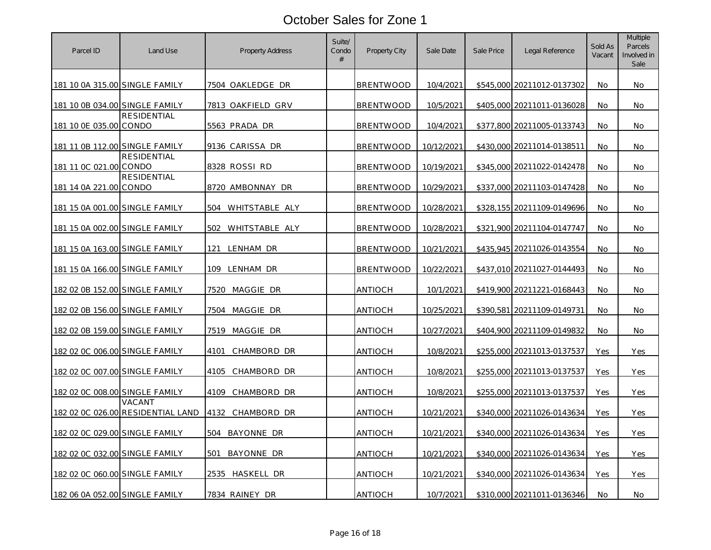| Parcel ID                      | Land Use                                    | <b>Property Address</b> | Suite/<br>Condo<br># | Property City    | Sale Date  | Sale Price | Legal Reference            | Sold As<br>Vacant | Multiple<br>Parcels<br>Involved in<br>Sale |
|--------------------------------|---------------------------------------------|-------------------------|----------------------|------------------|------------|------------|----------------------------|-------------------|--------------------------------------------|
| 181 10 0A 315.00 SINGLE FAMILY |                                             | 7504 OAKLEDGE DR        |                      | <b>BRENTWOOD</b> | 10/4/2021  |            | \$545,000 20211012-0137302 | No.               | No.                                        |
| 181 10 0B 034.00 SINGLE FAMILY |                                             | 7813 OAKFIELD GRV       |                      | <b>BRENTWOOD</b> | 10/5/2021  |            | \$405,000 20211011-0136028 | No                | No.                                        |
| 181 10 0E 035.00 CONDO         | RESIDENTIAL                                 | 5563 PRADA DR           |                      | <b>BRENTWOOD</b> | 10/4/2021  |            | \$377,800 20211005-0133743 | No.               | No                                         |
| 181 11 0B 112.00 SINGLE FAMILY |                                             | 9136 CARISSA DR         |                      | <b>BRENTWOOD</b> | 10/12/2021 |            | \$430,000 20211014-0138511 | No                | No.                                        |
| 181 11 0C 021.00 CONDO         | <b>RESIDENTIAL</b>                          | 8328 ROSSI RD           |                      | <b>BRENTWOOD</b> | 10/19/2021 |            | \$345,000 20211022-0142478 | No                | No.                                        |
| 181 14 0A 221.00 CONDO         | <b>RESIDENTIAL</b>                          | 8720 AMBONNAY DR        |                      | <b>BRENTWOOD</b> | 10/29/2021 | \$337,000  | 20211103-0147428           | No                | No.                                        |
| 181 15 0A 001.00 SINGLE FAMILY |                                             | 504 WHITSTABLE ALY      |                      | <b>BRENTWOOD</b> | 10/28/2021 |            | \$328,155 20211109-0149696 | No                | No.                                        |
| 181 15 0A 002.00 SINGLE FAMILY |                                             | WHITSTABLE ALY<br>502   |                      | <b>BRENTWOOD</b> | 10/28/2021 |            | \$321,900 20211104-0147747 | No                | No.                                        |
| 181 15 0A 163.00 SINGLE FAMILY |                                             | 121<br>LENHAM DR        |                      | <b>BRENTWOOD</b> | 10/21/2021 |            | \$435,945 20211026-0143554 | No.               | No.                                        |
| 181 15 0A 166.00 SINGLE FAMILY |                                             | 109<br>LENHAM DR        |                      | <b>BRENTWOOD</b> | 10/22/2021 |            | \$437,010 20211027-0144493 | No                | No.                                        |
| 182 02 0B 152.00 SINGLE FAMILY |                                             | MAGGIE DR<br>7520       |                      | <u>ANTIOCH</u>   | 10/1/2021  |            | \$419,900 20211221-0168443 | No                | No.                                        |
| 182 02 0B 156.00 SINGLE FAMILY |                                             | MAGGIE DR<br>7504       |                      | <b>ANTIOCH</b>   | 10/25/2021 | \$390,581  | 20211109-0149731           | No                | <b>No</b>                                  |
| 182 02 0B 159.00 SINGLE FAMILY |                                             | 7519 MAGGIE DR          |                      | ANTIOCH          | 10/27/2021 |            | \$404,900 20211109-0149832 | No                | No.                                        |
| 182 02 0C 006.00 SINGLE FAMILY |                                             | 4101<br>CHAMBORD DR     |                      | <b>ANTIOCH</b>   | 10/8/2021  |            | \$255,000 20211013-0137537 | Yes               | Yes                                        |
| 182 02 0C 007.00 SINGLE FAMILY |                                             | 4105<br>CHAMBORD DR     |                      | <b>ANTIOCH</b>   | 10/8/2021  |            | \$255,000 20211013-0137537 | Yes               | Yes                                        |
| 182 02 0C 008.00 SINGLE FAMILY |                                             | CHAMBORD DR<br>4109     |                      | <b>ANTIOCH</b>   | 10/8/2021  |            | \$255,000 20211013-0137537 | Yes               | Yes                                        |
|                                | VACANT<br>182 02 0C 026.00 RESIDENTIAL LAND | 4132<br>CHAMBORD DR     |                      | <b>ANTIOCH</b>   | 10/21/2021 |            | \$340,000 20211026-0143634 | Yes               | Yes                                        |
| 182 02 0C 029.00 SINGLE FAMILY |                                             | 504<br>BAYONNE DR       |                      | ANTIOCH          | 10/21/2021 |            | \$340,000 20211026-0143634 | Yes               | Yes                                        |
| 182 02 0C 032.00 SINGLE FAMILY |                                             | BAYONNE DR<br>501       |                      | <b>ANTIOCH</b>   | 10/21/2021 |            | \$340,000 20211026-0143634 | Yes               | Yes                                        |
| 182 02 0C 060.00 SINGLE FAMILY |                                             | 2535 HASKELL DR         |                      | <b>ANTIOCH</b>   | 10/21/2021 |            | \$340,000 20211026-0143634 | Yes               | Yes                                        |
| 182 06 0A 052.00 SINGLE FAMILY |                                             | 7834 RAINEY DR          |                      | <b>ANTIOCH</b>   | 10/7/2021  |            | \$310,000 20211011-0136346 | No.               | No.                                        |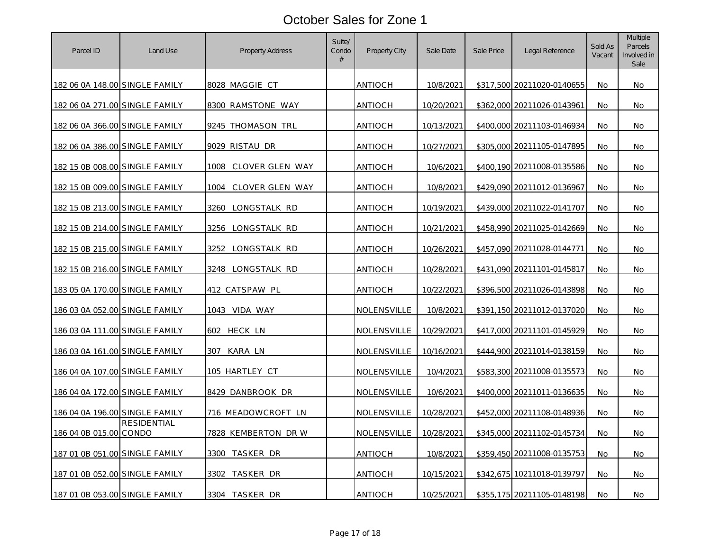| Parcel ID                      | Land Use           | <b>Property Address</b> | Suite/<br>Condo<br># | Property City      | Sale Date  | Sale Price | Legal Reference            | Sold As<br>Vacant | Multiple<br>Parcels<br>Involved in<br>Sale |
|--------------------------------|--------------------|-------------------------|----------------------|--------------------|------------|------------|----------------------------|-------------------|--------------------------------------------|
| 182 06 0A 148.00 SINGLE FAMILY |                    | 8028 MAGGIE CT          |                      | ANTIOCH            | 10/8/2021  |            | \$317,500 20211020-0140655 | No                | No.                                        |
| 182 06 0A 271.00 SINGLE FAMILY |                    | 8300 RAMSTONE WAY       |                      | ANTIOCH            | 10/20/2021 |            | \$362,000 20211026-0143961 | No                | No                                         |
| 182 06 0A 366.00 SINGLE FAMILY |                    | 9245 THOMASON TRL       |                      | <b>ANTIOCH</b>     | 10/13/2021 |            | \$400,000 20211103-0146934 | No.               | No.                                        |
| 182 06 0A 386.00 SINGLE FAMILY |                    | 9029 RISTAU DR          |                      | <b>ANTIOCH</b>     | 10/27/2021 |            | \$305,000 20211105-0147895 | No                | No.                                        |
| 182 15 0B 008.00 SINGLE FAMILY |                    | 1008 CLOVER GLEN WAY    |                      | <b>ANTIOCH</b>     | 10/6/2021  |            | \$400.190 20211008-0135586 | No                | No                                         |
| 182 15 0B 009.00 SINGLE FAMILY |                    | CLOVER GLEN WAY<br>1004 |                      | <b>ANTIOCH</b>     | 10/8/2021  | \$429,090  | 20211012-0136967           | No                | No                                         |
| 182 15 0B 213.00 SINGLE FAMILY |                    | 3260<br>LONGSTALK RD    |                      | ANTIOCH            | 10/19/2021 |            | \$439,000 20211022-0141707 | No.               | No                                         |
| 182 15 0B 214.00 SINGLE FAMILY |                    | 3256 LONGSTALK RD       |                      | ANTIOCH            | 10/21/2021 |            | \$458,990 20211025-0142669 | No                | No.                                        |
| 182 15 0B 215.00 SINGLE FAMILY |                    | 3252<br>LONGSTALK RD    |                      | <b>ANTIOCH</b>     | 10/26/2021 |            | \$457,090 20211028-0144771 | No                | No.                                        |
| 182 15 0B 216.00 SINGLE FAMILY |                    | 3248 LONGSTALK RD       |                      | <b>ANTIOCH</b>     | 10/28/2021 |            | \$431,090 20211101-0145817 | No                | No.                                        |
| 183 05 0A 170.00 SINGLE FAMILY |                    | 412 CATSPAW PL          |                      | <b>ANTIOCH</b>     | 10/22/2021 |            | \$396,500 20211026-0143898 | No                | No.                                        |
| 186 03 0A 052.00 SINGLE FAMILY |                    | 1043 VIDA WAY           |                      | <u>NOLENSVILLE</u> | 10/8/2021  |            | \$391,150 20211012-0137020 | No                | No.                                        |
| 186 03 0A 111.00 SINGLE FAMILY |                    | 602<br>HECK LN          |                      | NOLENSVILLE        | 10/29/2021 |            | \$417,000 20211101-0145929 | No                | No.                                        |
| 186 03 0A 161.00 SINGLE FAMILY |                    | KARA LN<br>307          |                      | NOLENSVILLE        | 10/16/2021 | \$444,900  | 20211014-0138159           | No                | No                                         |
| 186 04 0A 107.00 SINGLE FAMILY |                    | 105 HARTLEY CT          |                      | NOLENSVILLE        | 10/4/2021  |            | \$583,300 20211008-0135573 | No                | No.                                        |
| 186 04 0A 172.00 SINGLE FAMILY |                    | 8429 DANBROOK DR        |                      | NOLENSVILLE        | 10/6/2021  |            | \$400,000 20211011-0136635 | No                | No                                         |
| 186 04 0A 196.00 SINGLE FAMILY |                    | 716 MEADOWCROFT LN      |                      | NOLENSVILLE        | 10/28/2021 |            | \$452,000 20211108-0148936 | No                | No.                                        |
| 186 04 0B 015.00 CONDO         | <b>RESIDENTIAL</b> | 7828 KEMBERTON DRW      |                      | NOLENSVILLE        | 10/28/2021 |            | \$345,000 20211102-0145734 | No                | No.                                        |
| 187 01 0B 051.00 SINGLE FAMILY |                    | TASKER DR<br>3300       |                      | <u>ANTIOCH</u>     | 10/8/2021  |            | \$359,450 20211008-0135753 | No                | No.                                        |
| 187 01 0B 052.00 SINGLE FAMILY |                    | TASKER DR<br>3302       |                      | <b>ANTIOCH</b>     | 10/15/2021 |            | \$342,675 10211018-0139797 | <b>No</b>         | <b>No</b>                                  |
| 187 01 0B 053.00 SINGLE FAMILY |                    | 3304 TASKER DR          |                      | <b>ANTIOCH</b>     | 10/25/2021 |            | \$355,175 20211105-0148198 | No.               | No.                                        |